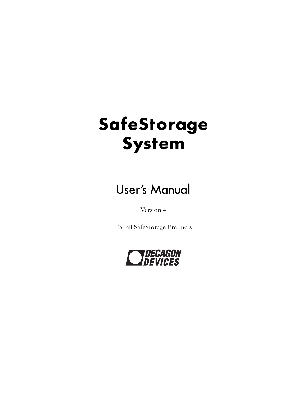# **SafeStorage System**

# User's Manual

Version 4

For all SafeStorage Products

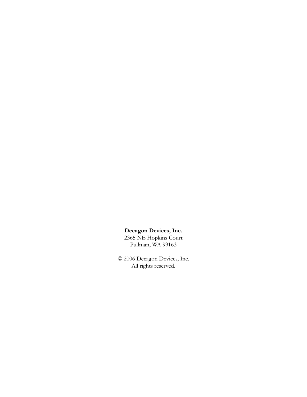#### **Decagon Devices, Inc.**

2365 NE Hopkins Court Pullman, WA 99163

© 2006 Decagon Devices, Inc. All rights reserved.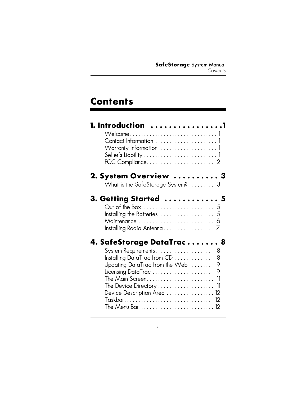### **[Contents](#page-6-0)**

| 1. Introduction<br>. <b>.</b>                                                                                                                                                                                                                                                                                                                                                                      |
|----------------------------------------------------------------------------------------------------------------------------------------------------------------------------------------------------------------------------------------------------------------------------------------------------------------------------------------------------------------------------------------------------|
| Warranty Information 1<br>FCC Compliance 2                                                                                                                                                                                                                                                                                                                                                         |
| 2. System Overview  3                                                                                                                                                                                                                                                                                                                                                                              |
| What is the SafeStorage System?  3                                                                                                                                                                                                                                                                                                                                                                 |
| 3. Getting Started  5                                                                                                                                                                                                                                                                                                                                                                              |
|                                                                                                                                                                                                                                                                                                                                                                                                    |
| 4. SafeStorage DataTrac 8                                                                                                                                                                                                                                                                                                                                                                          |
| System Requirements<br>8<br>$\blacksquare$ Installing DataTrac from CD $\ldots \ldots \ldots \ldots$<br>8<br>Updating DataTrac from the Web<br>9<br>9<br>Licensing DataTrac $\dots\dots\dots\dots\dots\dots\dots$<br>The Main Screen<br>$\mathbf{1}$<br>$\mathbb{I}$<br>The Device Directory $\ldots \ldots \ldots \ldots \ldots \ldots$<br>Device Description Area 12<br>12<br>The Menu Bar<br>12 |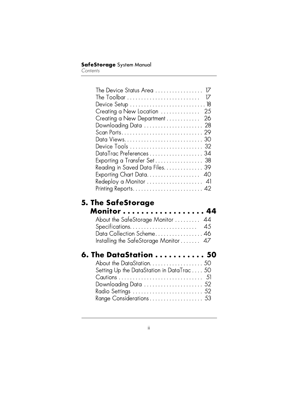| The Device Status Area $\ldots \ldots \ldots \ldots \ldots$ 17                            |
|-------------------------------------------------------------------------------------------|
| The Toolbar $\ldots \ldots \ldots \ldots \ldots \ldots \ldots \ldots$<br>$17\overline{ }$ |
|                                                                                           |
| Creating a New Location<br>25                                                             |
| Creating a New Department<br>26                                                           |
|                                                                                           |
|                                                                                           |
|                                                                                           |
|                                                                                           |
| DataTrac Preferences 34                                                                   |
| Exporting a Transfer Set 38                                                               |
| Reading in Saved Data Files. 39                                                           |
| Exporting Chart Data. $\dots\dots\dots\dots\dots\ 40$                                     |
| Redeploy a Monitor 41                                                                     |
| Printing Reports. $\dots\dots\dots\dots\dots\dots\dots\dots$                              |
|                                                                                           |

### **5. The SafeStorage**

| <b>Monitor 44</b>                                      |  |
|--------------------------------------------------------|--|
| About the SafeStorage Monitor  44<br>Specifications 45 |  |
| Data Collection Scheme 46                              |  |
| Installing the SafeStorage Monitor $47$                |  |
| 6. The DataStation 50                                  |  |
|                                                        |  |
| About the DataStation. 50                              |  |
| Setting Up the DataStation in DataTrac50               |  |
|                                                        |  |
| Downloading Data  52                                   |  |
|                                                        |  |
| Range Considerations 53                                |  |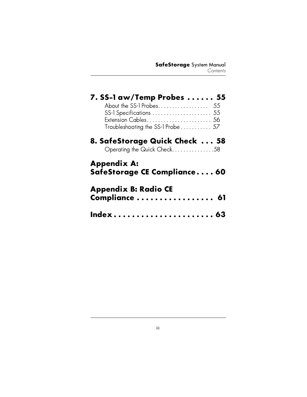| 7. SS-1 aw/Temp Probes  55<br>About the SS-1 Probes 55<br>SS-1 Specifications  55<br>Extension Cables 56<br>Troubleshooting the SS-1 Probe 57 |
|-----------------------------------------------------------------------------------------------------------------------------------------------|
| 8. SafeStorage Quick Check  58<br>Operating the Quick Check58                                                                                 |
| <b>Appendix A:</b><br>SafeStorage CE Compliance 60                                                                                            |
| <b>Appendix B: Radio CE</b><br>Compliance<br>61                                                                                               |
| Index 63                                                                                                                                      |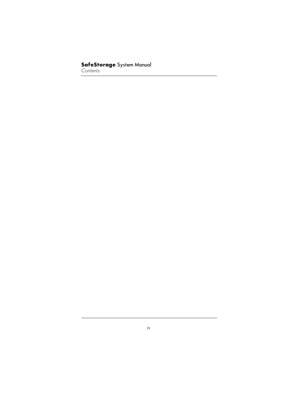#### **SafeStorage** System Manual

*Contents*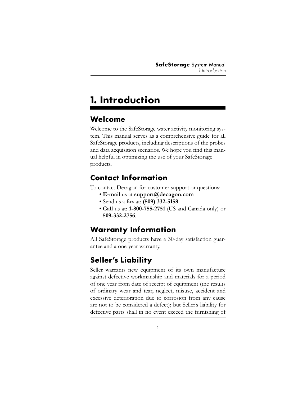## <span id="page-6-0"></span>**1. Introduction**

### <span id="page-6-1"></span>**Welcome**

Welcome to the SafeStorage water activity monitoring system. This manual serves as a comprehensive guide for all SafeStorage products, including descriptions of the probes and data acquisition scenarios. We hope you find this manual helpful in optimizing the use of your SafeStorage products.

### <span id="page-6-2"></span>**Contact Information**

To contact Decagon for customer support or questions:

- **E-mail** us at **support@decagon.com**
- Send us a **fax** at: **(509) 332-5158**
- **Call** us at: **1-800-755-2751** (US and Canada only) or **509-332-2756**.

### <span id="page-6-3"></span>**Warranty Information**

All SafeStorage products have a 30-day satisfaction guarantee and a one-year warranty.

### <span id="page-6-4"></span>**Seller's Liability**

Seller warrants new equipment of its own manufacture against defective workmanship and materials for a period of one year from date of receipt of equipment (the results of ordinary wear and tear, neglect, misuse, accident and excessive deterioration due to corrosion from any cause are not to be considered a defect); but Seller's liability for defective parts shall in no event exceed the furnishing of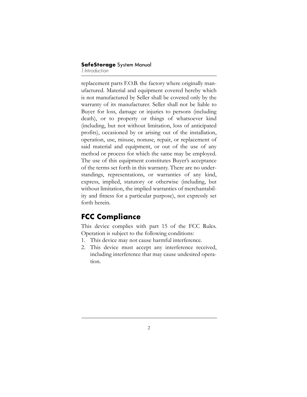#### **SafeStorage** System Manual *1. Introduction*

replacement parts F.O.B. the factory where originally manufactured. Material and equipment covered hereby which is not manufactured by Seller shall be covered only by the warranty of its manufacturer. Seller shall not be liable to Buyer for loss, damage or injuries to persons (including death), or to property or things of whatsoever kind (including, but not without limitation, loss of anticipated profits), occasioned by or arising out of the installation, operation, use, misuse, nonuse, repair, or replacement of said material and equipment, or out of the use of any method or process for which the same may be employed. The use of this equipment constitutes Buyer's acceptance of the terms set forth in this warranty. There are no understandings, representations, or warranties of any kind, express, implied, statutory or otherwise (including, but without limitation, the implied warranties of merchantability and fitness for a particular purpose), not expressly set forth herein.

### <span id="page-7-0"></span>**FCC Compliance**

This device complies with part 15 of the FCC Rules. Operation is subject to the following conditions:

- 1. This device may not cause harmful interference.
- 2. This device must accept any interference received, including interference that may cause undesired operation.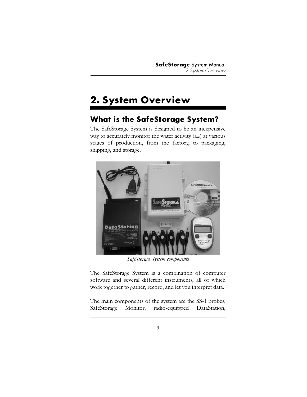# <span id="page-8-0"></span>**2. System Overview**

### <span id="page-8-1"></span>**What is the SafeStorage System?**

The SafeStorage System is designed to be an inexpensive way to accurately monitor the water activity  $(a_w)$  at various stages of production, from the factory, to packaging, shipping, and storage.



*SafeStorage System components*

The SafeStorage System is a combination of computer software and several different instruments, all of which work together to gather, record, and let you interpret data.

The main components of the system are the SS-1 probes, SafeStorage Monitor, radio-equipped DataStation,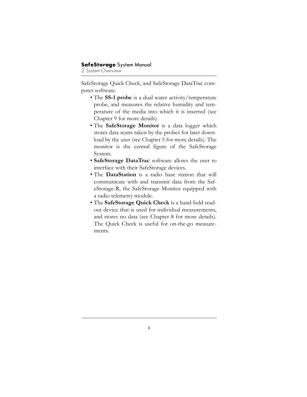### **SafeStorage** System Manual

*2. System Overview*

SafeStorage Quick Check, and SafeStorage DataTrac computer software.

- The **SS-1 probe** is a dual water activity/temperature probe, and measures the relative humidity and temperature of the media into which it is inserted (see Chapter 9 for more details).
- The **SafeStorage Monitor** is a data logger which stores data scans taken by the probes for later download by the user (see Chapter 5 for more details). The monitor is the central figure of the SafeStorage System.
- **SafeStorage DataTrac** software allows the user to interface with their SafeStorage devices.
- The **DataStation** is a radio base station that will communicate with and transmit data from the SafeStorage-R, the SafeStorage Monitor equipped with a radio telemetry module.
- The **SafeStorage Quick Check** is a hand-held readout device that is used for individual measurements, and stores no data (see Chapter 8 for more details). The Quick Check is useful for on-the-go measurements.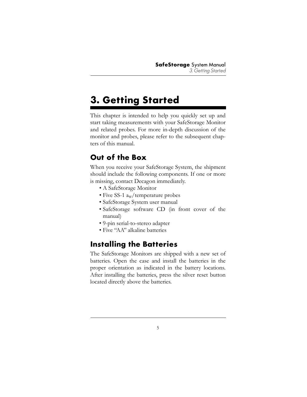# <span id="page-10-0"></span>**3. Getting Started**

This chapter is intended to help you quickly set up and start taking measurements with your SafeStorage Monitor and related probes. For more in-depth discussion of the monitor and probes, please refer to the subsequent chapters of this manual.

#### <span id="page-10-1"></span>**Out of the Box**

When you receive your SafeStorage System, the shipment should include the following components. If one or more is missing, contact Decagon immediately.

- A SafeStorage Monitor
- Five SS-1  $a_w$ /temperature probes
- SafeStorage System user manual
- SafeStorage software CD (in front cover of the manual)
- 9-pin serial-to-stereo adapter
- Five "AA" alkaline batteries

### <span id="page-10-2"></span>**Installing the Batteries**

The SafeStorage Monitors are shipped with a new set of batteries. Open the case and install the batteries in the proper orientation as indicated in the battery locations. After installing the batteries, press the silver reset button located directly above the batteries.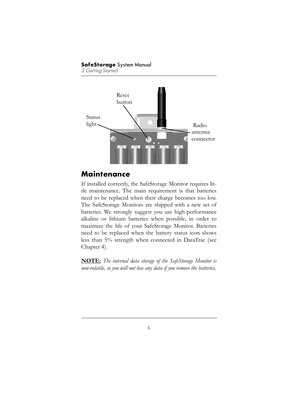#### **SafeStorage** System Manual

*3. Getting Started*



#### <span id="page-11-0"></span>**Maintenance**

If installed correctly, the SafeStorage Monitor requires little maintenance. The main requirement is that batteries need to be replaced when their charge becomes too low. The SafeStorage Monitors are shipped with a new set of batteries. We strongly suggest you use high-performance alkaline or lithium batteries when possible, in order to maximize the life of your SafeStorage Monitor. Batteries need to be replaced when the battery status icon shows less than 5% strength when connected in DataTrac (see Chapter 4).

**NOTE:** *The internal data storage of the SafeStorage Monitor is non-volatile, so you will not lose any data if you remove the batteries.*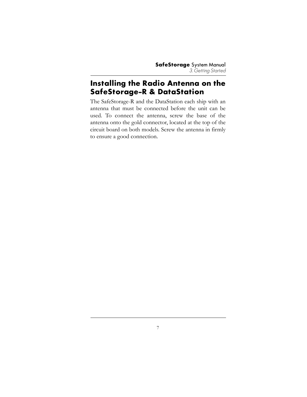#### <span id="page-12-0"></span>**Installing the Radio Antenna on the SafeStorage-R & DataStation**

The SafeStorage-R and the DataStation each ship with an antenna that must be connected before the unit can be used. To connect the antenna, screw the base of the antenna onto the gold connector, located at the top of the circuit board on both models. Screw the antenna in firmly to ensure a good connection.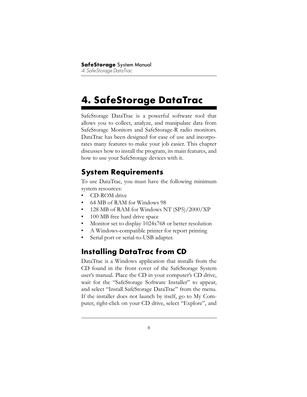# <span id="page-13-0"></span>**4. SafeStorage DataTrac**

SafeStorage DataTrac is a powerful software tool that allows you to collect, analyze, and manipulate data from SafeStorage Monitors and SafeStorage-R radio monitors. DataTrac has been designed for ease of use and incorporates many features to make your job easier. This chapter discusses how to install the program, its main features, and how to use your SafeStorage devices with it.

### <span id="page-13-1"></span>**System Requirements**

To use DataTrac, you must have the following minimum system resources:

- CD-ROM drive
- 64 MB of RAM for Windows 98
- 128 MB of RAM for Windows NT (SP5)/2000/XP
- 100 MB free hard drive space
- Monitor set to display 1024x768 or better resolution
- A Windows-compatible printer for report printing
- Serial port or serial-to-USB adapter.

### <span id="page-13-2"></span>**Installing DataTrac from CD**

DataTrac is a Windows application that installs from the CD found in the front cover of the SafeStorage System user's manual. Place the CD in your computer's CD drive, wait for the "SafeStorage Software Installer" to appear, and select "Install SafeStorage DataTrac" from the menu. If the installer does not launch by itself, go to My Computer, right-click on your CD drive, select "Explore", and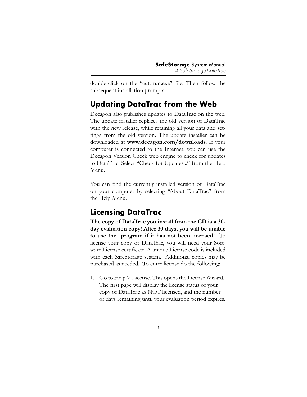double-click on the "autorun.exe" file. Then follow the subsequent installation prompts.

### <span id="page-14-0"></span>**Updating DataTrac from the Web**

Decagon also publishes updates to DataTrac on the web. The update installer replaces the old version of DataTrac with the new release, while retaining all your data and settings from the old version. The update installer can be downloaded at **www.decagon.com/downloads**. If your computer is connected to the Internet, you can use the Decagon Version Check web engine to check for updates to DataTrac. Select "Check for Updates..." from the Help Menu.

You can find the currently installed version of DataTrac on your computer by selecting "About DataTrac" from the Help Menu.

#### <span id="page-14-1"></span>**Licensing DataTrac**

**The copy of DataTrac you install from the CD is a 30 day evaluation copy! After 30 days, you will be unable to use the program if it has not been licensed!** To license your copy of DataTrac, you will need your Software License certificate. A unique License code is included with each SafeStorage system. Additional copies may be purchased as needed. To enter license do the following:

1. Go to Help > License. This opens the License Wizard. The first page will display the license status of your copy of DataTrac as NOT licensed, and the number of days remaining until your evaluation period expires.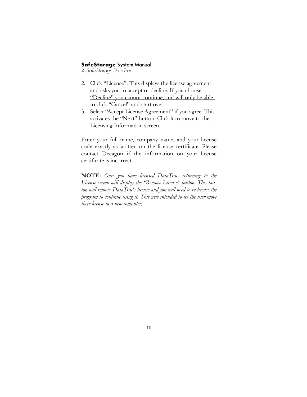- 2. Click "License". This displays the license agreement and asks you to accept or decline. If you choose "Decline" you cannot continue, and will only be able to click "Cancel" and start over.
- 3. Select "Accept License Agreement" if you agree. This activates the "Next" button. Click it to move to the Licensing Information screen.

Enter your full name, company name, and your license code exactly as written on the license certificate. Please contact Decagon if the information on your license certificate is incorrect.

**NOTE:** *Once you have licensed DataTrac, returning to the License screen will display the "Remove License" button. This button will remove DataTrac's license and you will need to re-license the program to continue using it. This was intended to let the user move their license to a new computer.*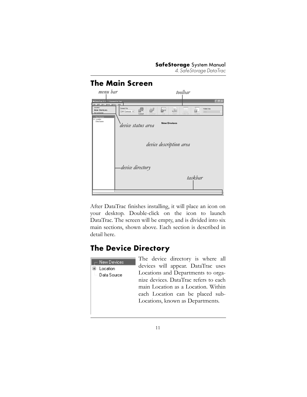*4. SafeStorage DataTrac*

#### <span id="page-16-0"></span>**The Main Screen**  *menu bar toolbar*Visible Data Connect Via<br>COM1 Com 碘 New Devices öΪ അ  $\mathbb{R}$ à Location<br>Data Source **New Devices** *device status area device description area device directory taskbar*

After DataTrac finishes installing, it will place an icon on your desktop. Double-click on the icon to launch DataTrac. The screen will be empty, and is divided into six main sections, shown above. Each section is described in detail here.

### <span id="page-16-1"></span>**The Device Directory**



The device directory is where all devices will appear. DataTrac uses Locations and Departments to organize devices. DataTrac refers to each main Location as a Location. Within each Location can be placed sub-Locations, known as Departments.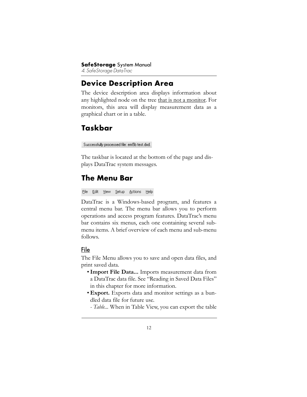### <span id="page-17-0"></span>**Device Description Area**

The device description area displays information about any highlighted node on the tree that is not a monitor. For monitors, this area will display measurement data as a graphical chart or in a table.

### <span id="page-17-1"></span>**Taskbar**

```
Successfully processed file: em5b test.dxd.
```
The taskbar is located at the bottom of the page and displays DataTrac system messages.

### <span id="page-17-2"></span>**The Menu Bar**

 $He$ lp Eile Edit View Setup Actions

DataTrac is a Windows-based program, and features a central menu bar. The menu bar allows you to perform operations and access program features. DataTrac's menu bar contains six menus, each one containing several submenu items. A brief overview of each menu and sub-menu follows.

#### File

The File Menu allows you to save and open data files, and print saved data.

- •**Import File Data...** Imports measurement data from a DataTrac data file. See "Reading in Saved Data Files" in this chapter for more information.
- **Export.** Exports data and monitor settings as a bundled data file for future use.

*- Table...* When in Table View, you can export the table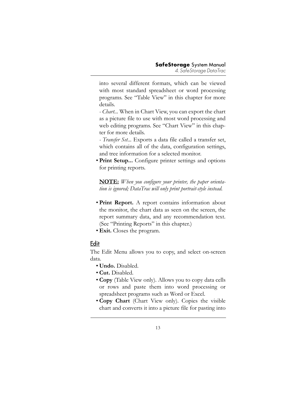into several different formats, which can be viewed with most standard spreadsheet or word processing programs. See "Table View" in this chapter for more details.

*- Chart...* When in Chart View, you can export the chart as a picture file to use with most word processing and web editing programs. See "Chart View" in this chapter for more details.

*- Transfer Set...* Exports a data file called a transfer set, which contains all of the data, configuration settings, and tree information for a selected monitor.

• **Print Setup...** Configure printer settings and options for printing reports.

**NOTE:** *When you configure your printer, the paper orientation is ignored; DataTrac will only print portrait-style instead.*

- **Print Report.** A report contains information about the monitor, the chart data as seen on the screen, the report summary data, and any recommendation text. (See "Printing Reports" in this chapter.)
- **Exit.** Closes the program.

#### Edit

The Edit Menu allows you to copy, and select on-screen data.

- **Undo.** Disabled.
- **Cut.** Disabled.
- **Copy** (Table View only). Allows you to copy data cells or rows and paste them into word processing or spreadsheet programs such as Word or Excel.
- **Copy Chart** (Chart View only). Copies the visible chart and converts it into a picture file for pasting into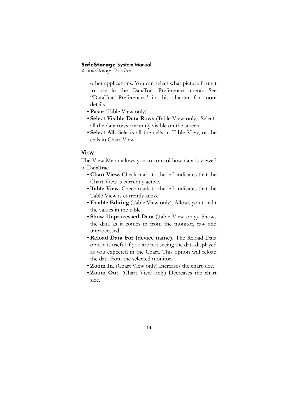other applications. You can select what picture format to use in the DataTrac Preferences menu. See "DataTrac Preferences" in this chapter for more details.

- **Paste** (Table View only).
- **Select Visible Data Rows** (Table View only). Selects all the data rows currently visible on the screen.
- **Select All.** Selects all the cells in Table View, or the cells in Chart View.

#### View

The View Menu allows you to control how data is viewed in DataTrac.

- **Chart View.** Check mark to the left indicates that the Chart View is currently active.
- **Table View.** Check mark to the left indicates that the Table View is currently active.
- **Enable Editing** (Table View only). Allows you to edit the values in the table.
- **Show Unprocessed Data** (Table View only). Shows the data as it comes in from the monitor, raw and unprocessed.
- **Reload Data For (device name).** The Reload Data option is useful if you are not seeing the data displayed as you expected in the Chart. This option will reload the data from the selected monitor.
- **Zoom In.** (Chart View only) Increases the chart size.
- **Zoom Out.** (Chart View only) Decreases the chart size.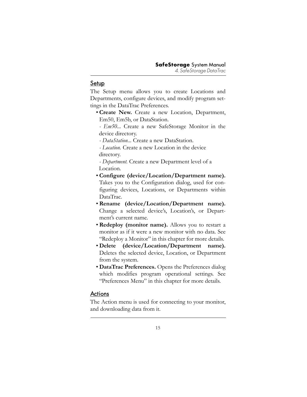#### Setup

The Setup menu allows you to create Locations and Departments, configure devices, and modify program settings in the DataTrac Preferences.

• **Create New.** Create a new Location, Department, Em50, Em5b, or DataStation.

*- Em50...* Create a new SafeStorage Monitor in the device directory.

- *DataStation...* Create a new DataStation.
- *Location.* Create a new Location in the device

directory.

*- Department.* Create a new Department level of a Location.

- **Configure (device/Location/Department name).** Takes you to the Configuration dialog, used for configuring devices, Locations, or Departments within DataTrac.
- **Rename (device/Location/Department name).** Change a selected device's, Location's, or Department's current name.
- **Redeploy (monitor name).** Allows you to restart a monitor as if it were a new monitor with no data. See "Redeploy a Monitor" in this chapter for more details.
- **Delete (device/Location/Department name).** Deletes the selected device, Location, or Department from the system.
- **DataTrac Preferences.** Opens the Preferences dialog which modifies program operational settings. See "Preferences Menu" in this chapter for more details.

#### **Actions**

The Action menu is used for connecting to your monitor, and downloading data from it.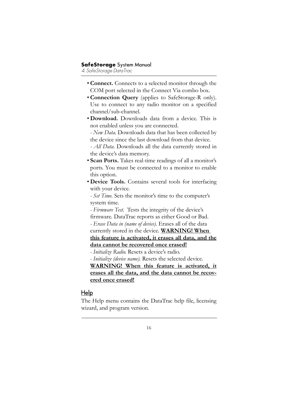- **Connect.** Connects to a selected monitor through the COM port selected in the Connect Via combo box.
- **Connection Query** (applies to SafeStorage-R only). Use to connect to any radio monitor on a specified channel/sub-channel.
- **Download.** Downloads data from a device. This is not enabled unless you are connected.

*- New Data.* Downloads data that has been collected by the device since the last download from that device.

*- All Data.* Downloads all the data currently stored in the device's data memory.

- **Scan Ports.** Takes real-time readings of all a monitor's ports. You must be connected to a monitor to enable this option.
- **Device Tools.** Contains several tools for interfacing with your device.

*- Set Time.* Sets the monitor's time to the computer's system time.

*- Firmware Test.* Tests the integrity of the device's firmware. DataTrac reports as either Good or Bad.

*- Erase Data in (name of device).* Erases all of the data currently stored in the device. **WARNING! When this feature is activated, it erases all data, and the data cannot be recovered once erased!**

*- Initialize Radio.* Resets a device's radio*.*

*- Initialize (device name).* Resets the selected device.

**WARNING! When this feature is activated, it erases all the data, and the data cannot be recovered once erased!**

#### <u>Help</u>

The Help menu contains the DataTrac help file, licensing wizard, and program version.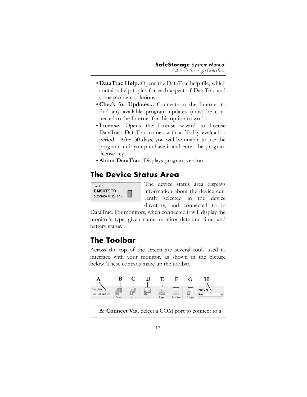- **DataTrac Help.** Opens the DataTrac help file, which contains help topics for each aspect of DataTrac and some problem solutions.
- **Check for Updates...** Connects to the Internet to find any available program updates (must be connected to the Internet for this option to work).
- **License.** Opens the License wizard to license DataTrac. DataTrac comes with a 30-day evaluation period. After 30 days, you will be unable to use the program until you purchase it and enter the program license key.
- **About DataTrac.** Displays program version.

#### <span id="page-22-0"></span>**The Device Status Area**

| Fm50                  |  |
|-----------------------|--|
| <b>FM50TSTR</b>       |  |
| 8/29/2006 11:33:43 AM |  |
|                       |  |

The device status area displays information about the device currently selected in the device directory, and connected to in

DataTrac. For monitors, when connected it will display the monitor's type, given name, monitor date and time, and battery status.

#### <span id="page-22-1"></span>**The Toolbar**

Across the top of the screen are several tools used to interface with your monitor, as shown in the picture below. These controls make up the toolbar.



**A: Connect Via.** Select a COM port to connect to a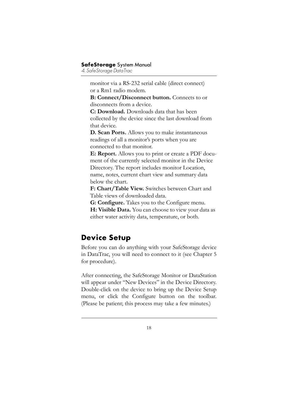### **SafeStorage** System Manual

*4. SafeStorage DataTrac*

monitor via a RS-232 serial cable (direct connect) or a Rm1 radio modem.

**B: Connect/Disconnect button.** Connects to or disconnects from a device.

**C: Download.** Downloads data that has been collected by the device since the last download from that device.

**D. Scan Ports.** Allows you to make instantaneous readings of all a monitor's ports when you are connected to that monitor.

**E: Report.** Allows you to print or create a PDF document of the currently selected monitor in the Device Directory. The report includes monitor Location, name, notes, current chart view and summary data below the chart.

**F: Chart/Table View.** Switches between Chart and Table views of downloaded data.

**G: Configure.** Takes you to the Configure menu.

**H: Visible Data.** You can choose to view your data as either water activity data, temperature, or both.

### <span id="page-23-0"></span>**Device Setup**

Before you can do anything with your SafeStorage device in DataTrac, you will need to connect to it (see Chapter 5 for procedure).

After connecting, the SafeStorage Monitor or DataStation will appear under "New Devices" in the Device Directory. Double-click on the device to bring up the Device Setup menu, or click the Configure button on the toolbar. (Please be patient; this process may take a few minutes.)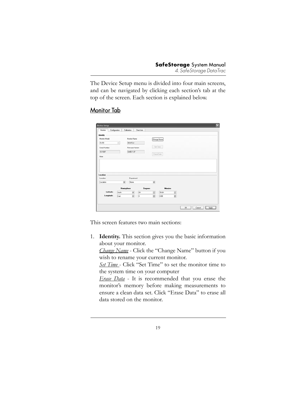The Device Setup menu is divided into four main screens, and can be navigated by clicking each section's tab at the top of the screen. Each section is explained below.

#### Monitor Tab

| Identity                                 |              |                              |    |                         |                |    |  |
|------------------------------------------|--------------|------------------------------|----|-------------------------|----------------|----|--|
| Monitor Model                            |              | Monitor Name                 |    |                         | Change Name    |    |  |
| Em50                                     | $\sim$       | <b>BirlwCov</b>              |    |                         |                |    |  |
| Serial Number                            |              | Firmware Version             |    |                         | Set Time       |    |  |
| \$\$1007                                 |              | Em50 1.07                    |    |                         |                |    |  |
|                                          |              |                              |    |                         |                |    |  |
|                                          |              |                              |    |                         | Erase Data     |    |  |
|                                          |              | Department                   |    |                         |                |    |  |
|                                          | $\checkmark$ | None                         |    | $\overline{\mathbf{v}}$ |                |    |  |
| Note<br>Location<br>Location<br>Location | Hemisphere   |                              |    | Degrees                 | <b>Minutes</b> |    |  |
| Latitude:<br>Longitude:                  | North        | ×<br>$\overline{\mathbf{v}}$ | 89 | ÷                       | 59.00          | E. |  |

This screen features two main sections:

1. **Identity.** This section gives you the basic information about your monitor.

*Change Name* - Click the "Change Name" button if you wish to rename your current monitor.

*Set Time* - Click "Set Time" to set the monitor time to the system time on your computer

*Erase Data* - It is recommended that you erase the monitor's memory before making measurements to ensure a clean data set. Click "Erase Data" to erase all data stored on the monitor.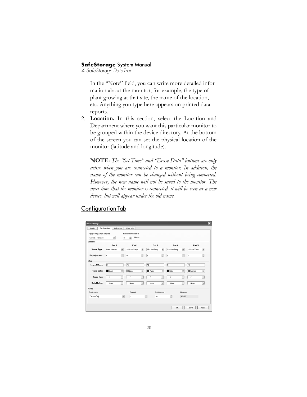In the "Note" field, you can write more detailed information about the monitor, for example, the type of plant growing at that site, the name of the location, etc. Anything you type here appears on printed data reports.

2. **Location.** In this section, select the Location and Department where you want this particular monitor to be grouped within the device directory. At the bottom of the screen you can set the physical location of the monitor (latitude and longitude).

**NOTE:** *The "Set Time" and "Erase Data" buttons are only active when you are connected to a monitor. In addition, the name of the monitor can be changed without being connected. However, the new name will not be saved to the monitor. The next time that the monitor is connected, it will be seen as a new device, but will appear under the old name.* 

#### Configuration Tab

| Apply Configuration Template |               |                | Measurement Interval  |                |                          |                       |              |                |                |                          |
|------------------------------|---------------|----------------|-----------------------|----------------|--------------------------|-----------------------|--------------|----------------|----------------|--------------------------|
| Choose a Template            | $\checkmark$  | $5^{\circ}$    | $\frac{x}{x}$ Minutes |                |                          |                       |              |                |                |                          |
| <b>Sensors</b>               | Port 1        |                | Port 2                |                | Port 3                   |                       | Port 4       |                | Port 5         |                          |
| <b>Sensor Type:</b>          | None Selected | ×              | SS-1 Aw/Temp          | ×              | SS-1 Aw/Temp             | ×                     | SS-1 Aw/Temp | v              | SS-1 Aw/Temp   | ×                        |
| Depth (Inches):              | la            | $\frac{a}{b}$  | $\vert$ 0             | ÷              | lo                       | $\frac{\Delta}{\Psi}$ | $\vert$ 0    | ÷              | 0              | $\ddot{\phantom{a}}$     |
| Chart                        |               |                |                       |                |                          |                       |              |                |                |                          |
| <b>Legend Name:</b>          | P1            |                | P <sub>2</sub>        |                | P3                       |                       | P4           |                | P <sub>5</sub> |                          |
| <b>Trace Color:</b>          | <b>Dlack</b>  | $\checkmark$   | <b>El</b> Lime        | $\sim$         | Purple                   | $\checkmark$          | <b>Blue</b>  | $\checkmark$   | Fuchsia        | $\checkmark$             |
| <b>Trace Size:</b>           | $-2$          | $\blacksquare$ | $-2$                  | $\blacksquare$ | $-2$                     | $\blacksquare$        | $-2$         | $\blacksquare$ | $-2$           | $\overline{\phantom{a}}$ |
| Data Marker:                 | None          | $\blacksquare$ | None                  | $\blacksquare$ | None                     | $\blacksquare$        | None         | $\blacksquare$ | None           | $\overline{\phantom{a}}$ |
| Radio                        |               |                |                       |                |                          |                       |              |                |                |                          |
| Radio Mode                   |               |                | Channel               |                | Sub Channel              |                       |              | Firmware       |                |                          |
| Transmit Only                |               | ×              | h                     |                | $\frac{\Delta}{2}$<br>10 |                       | ÷            | 424007         |                |                          |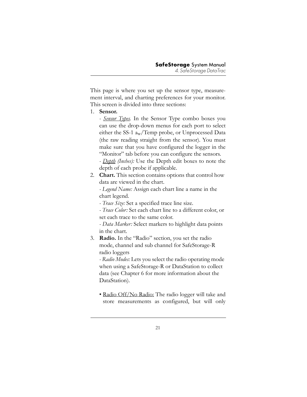This page is where you set up the sensor type, measurement interval, and charting preferences for your monitor. This screen is divided into three sections:

1. **Sensor.**

*- Sensor Types.* In the Sensor Type combo boxes you can use the drop-down menus for each port to select either the SS-1 aw/Temp probe, or Unprocessed Data (the raw reading straight from the sensor). You must make sure that you have configured the logger in the "Monitor" tab before you can configure the sensors. *- Depth (Inches):* Use the Depth edit boxes to note the depth of each probe if applicable.

2. **Chart.** This section contains options that control how data are viewed in the chart.

*- Legend Name:* Assign each chart line a name in the chart legend.

*- Trace Size:* Set a specified trace line size.

*- Trace Color:* Set each chart line to a different color, or set each trace to the same color.

*- Data Marker:* Select markers to highlight data points in the chart.

3. **Radio.** In the "Radio" section, you set the radio mode, channel and sub channel for SafeStorage-R radio loggers

*- Radio Modes:* Lets you select the radio operating mode when using a SafeStorage-R or DataStation to collect data (see Chapter 6 for more information about the DataStation).

• Radio Off/No Radio: The radio logger will take and store measurements as configured, but will only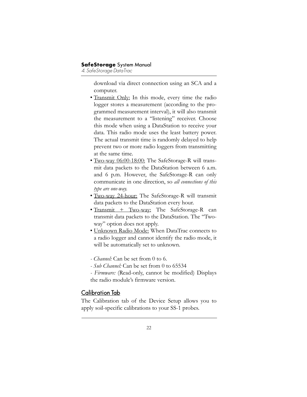download via direct connection using an SCA and a computer.

- Transmit Only: In this mode, every time the radio logger stores a measurement (according to the programmed measurement interval), it will also transmit the measurement to a "listening" receiver. Choose this mode when using a DataStation to receive your data. This radio mode uses the least battery power. The actual transmit time is randomly delayed to help prevent two or more radio loggers from transmitting at the same time.
- Two-way 06:00-18:00: The SafeStorage-R will transmit data packets to the DataStation between 6 a.m. and 6 p.m. However, the SafeStorage-R can only communicate in one direction, so *all connections of this type are one-way.*
- Two-way 24-hour: The SafeStorage-R will transmit data packets to the DataStation every hour.
- Transmit + Two-way: The SafeStorage-R can transmit data packets to the DataStation. The "Twoway" option does not apply.
- Unknown Radio Mode: When DataTrac connects to a radio logger and cannot identify the radio mode, it will be automatically set to unknown.
- *Channel:* Can be set from 0 to 6.
- *Sub Channel:* Can be set from 0 to 65534
- *Firmware:* (Read-only, cannot be modified) Displays the radio module's firmware version.

#### Calibration Tab

The Calibration tab of the Device Setup allows you to apply soil-specific calibrations to your SS-1 probes.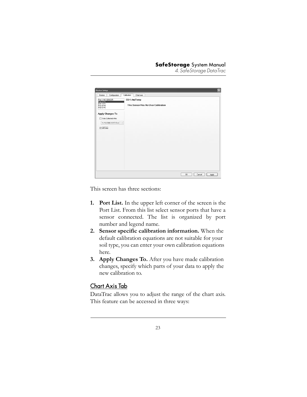*4. SafeStorage DataTrac*

| <b>Device Setup</b>                                                                                                                                                                    |                                                                                  | $\boxtimes$ |
|----------------------------------------------------------------------------------------------------------------------------------------------------------------------------------------|----------------------------------------------------------------------------------|-------------|
| Monitor<br>Configuration<br>Port 1: NO SENSOR<br>Rott 2 P2<br>Port 4: P4<br>Port 5: PS<br>Apply Changes To<br>Data Collected After.<br>11/10/2006 10:57:03 A D V<br>$\boxdot$ All Data | Calibration<br>Chart Axis<br>SS-1 Aw/Temp<br>This Sensor Has No User Calibration |             |
|                                                                                                                                                                                        | 0K<br>Cancel<br>Apply                                                            |             |

This screen has three sections:

- **1. Port List.** In the upper left corner of the screen is the Port List. From this list select sensor ports that have a sensor connected. The list is organized by port number and legend name.
- **2. Sensor specific calibration information.** When the default calibration equations are not suitable for your soil type, you can enter your own calibration equations here.
- **3. Apply Changes To.** After you have made calibration changes, specify which parts of your data to apply the new calibration to.

#### Chart Axis Tab

DataTrac allows you to adjust the range of the chart axis. This feature can be accessed in three ways: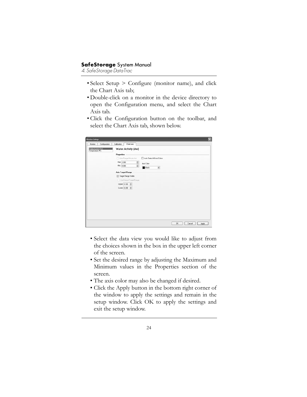- Select Setup > Configure (monitor name), and click the Chart Axis tab;
- Double-click on a monitor in the device directory to open the Configuration menu, and select the Chart Axis tab.
- Click the Configuration button on the toolbar, and select the Chart Axis tab, shown below.

| <b>Device Setup</b>                                                        | ĸ                           |
|----------------------------------------------------------------------------|-----------------------------|
| Monitor<br>Configuration<br>Chart Axis<br>Calibration                      |                             |
| Water Activity (Aw)<br>Water Activity [Aw]<br>Temperature ( <sup>#F)</sup> |                             |
| Properties                                                                 |                             |
| Auto Range Minute Axis                                                     | Auto Select All Axis Colors |
| Max 2000<br>$\frac{1}{2}$                                                  | Axis Color                  |
| Min: 0.000                                                                 | ×<br><b>Black</b>           |
| Axis Target Range                                                          |                             |
| Target Range Visible                                                       |                             |
| Use Default Target Range                                                   |                             |
| Upper: $0.300$ $\frac{m}{w}$                                               |                             |
| Lower: 0.200 [C]                                                           |                             |
|                                                                            |                             |
|                                                                            |                             |
|                                                                            |                             |
|                                                                            |                             |
|                                                                            |                             |
|                                                                            |                             |
|                                                                            |                             |
|                                                                            |                             |
|                                                                            | OK.<br>Cancel<br>Apply      |

- Select the data view you would like to adjust from the choices shown in the box in the upper left corner of the screen.
- Set the desired range by adjusting the Maximum and Minimum values in the Properties section of the screen.
- The axis color may also be changed if desired.
- Click the Apply button in the bottom right corner of the window to apply the settings and remain in the setup window. Click OK to apply the settings and exit the setup window.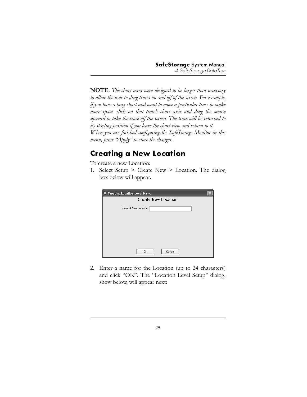**NOTE:** *The chart axes were designed to be larger than necessary to allow the user to drag traces on and off of the screen. For example, if you have a busy chart and want to move a particular trace to make more space, click on that trace's chart axis and drag the mouse upward to take the trace off the screen. The trace will be returned to its starting position if you leave the chart view and return to it. When you are finished configuring the SafeStorage Monitor in this menu, press "Apply" to store the changes.*

#### <span id="page-30-0"></span>**Creating a New Location**

To create a new Location:

1. Select Setup  $>$  Create New  $>$  Location. The dialog box below will appear.

| 拳 Creating Location Level Name |  |
|--------------------------------|--|
| Create New Location            |  |
| Name of New Location:          |  |
|                                |  |
|                                |  |
|                                |  |
|                                |  |
|                                |  |
| 0K<br>Cancel                   |  |

2. Enter a name for the Location (up to 24 characters) and click "OK". The "Location Level Setup" dialog, show below, will appear next: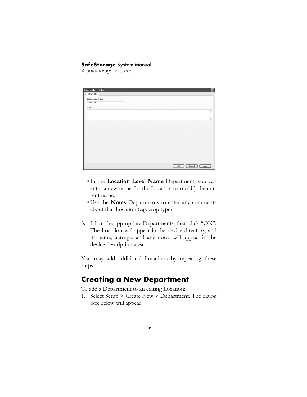#### **SafeStorage** System Manual

*4. SafeStorage DataTrac*

| <b>Location Level Setup</b> | $\boxtimes$              |
|-----------------------------|--------------------------|
| LOCATION                    |                          |
| Location Level Name         |                          |
| wheat field                 |                          |
| Note                        |                          |
|                             | $\hat{\phantom{a}}$      |
|                             |                          |
|                             | $\overline{\phantom{a}}$ |
|                             |                          |
|                             |                          |
|                             |                          |
|                             |                          |
|                             |                          |
|                             |                          |
|                             |                          |
|                             |                          |
|                             |                          |
|                             |                          |
|                             | OK<br>Cancel<br>Apply    |

- In the **Location Level Name** Department, you can enter a new name for the Location or modify the current name.
- Use the **Notes** Departments to enter any comments about that Location (e.g. crop type).
- 3. Fill in the appropriate Departments, then click "OK". The Location will appear in the device directory, and its name, acreage, and any notes will appear in the device description area.

You may add additional Locations by repeating these steps.

#### <span id="page-31-0"></span>**Creating a New Department**

To add a Department to an exiting Location:

1. Select Setup > Create New > Department. The dialog box below will appear: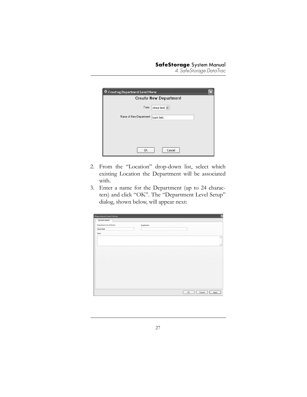*4. SafeStorage DataTrac*

| <b>Creating Department Level Name</b> |
|---------------------------------------|
| Create New Department                 |
| Farm:<br>wheat field $\sqrt{}$        |
| Name of New Department:<br>back field |
|                                       |
|                                       |
|                                       |
| 0K<br>Cancel                          |

- 2. From the "Location" drop-down list, select which existing Location the Department will be associated with.
- 3. Enter a name for the Department (up to 24 characters) and click "OK". The "Department Level Setup" dialog, shown below, will appear next:

| <b>Department Level Setup</b> |            |                        |
|-------------------------------|------------|------------------------|
| DEPARTMENT                    |            |                        |
| Department Level Name         | Experiment |                        |
| back field                    |            |                        |
| Note                          |            |                        |
|                               |            | $\hat{\phantom{a}}$    |
|                               |            |                        |
|                               |            |                        |
|                               |            |                        |
|                               |            |                        |
|                               |            |                        |
|                               |            |                        |
|                               |            |                        |
|                               |            |                        |
|                               |            |                        |
|                               |            |                        |
|                               |            |                        |
|                               |            |                        |
|                               |            |                        |
|                               |            |                        |
|                               |            | Cancel<br>OK.<br>Apply |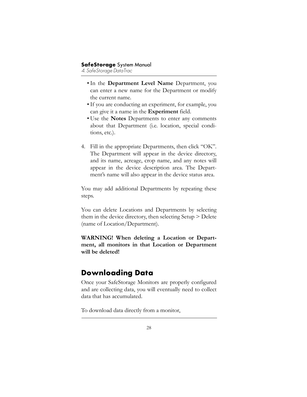- In the **Department Level Name** Department, you can enter a new name for the Department or modify the current name.
- If you are conducting an experiment, for example, you can give it a name in the **Experiment** field.
- Use the **Notes** Departments to enter any comments about that Department (i.e. location, special conditions, etc.).
- 4. Fill in the appropriate Departments, then click "OK". The Department will appear in the device directory, and its name, acreage, crop name, and any notes will appear in the device description area. The Department's name will also appear in the device status area.

You may add additional Departments by repeating these steps.

You can delete Locations and Departments by selecting them in the device directory, then selecting Setup > Delete (name of Location/Department).

**WARNING! When deleting a Location or Department, all monitors in that Location or Department will be deleted!**

#### <span id="page-33-0"></span>**Downloading Data**

Once your SafeStorage Monitors are properly configured and are collecting data, you will eventually need to collect data that has accumulated.

To download data directly from a monitor,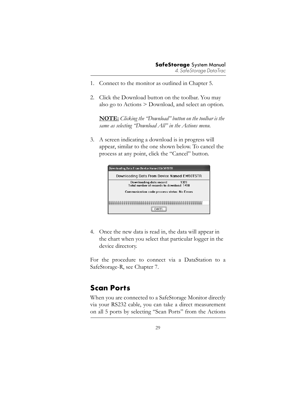- 1. Connect to the monitor as outlined in Chapter 5.
- 2. Click the Download button on the toolbar. You may also go to Actions > Download, and select an option.

**NOTE:** *Clicking the "Download" button on the toolbar is the same as selecting "Download All" in the Actions menu.*

3. A screen indicating a download is in progress will appear, similar to the one shown below. To cancel the process at any point, click the "Cancel" button.

| Downloading Data From Device Named EM50TSTR                                   |  |  |  |  |
|-------------------------------------------------------------------------------|--|--|--|--|
| Downloading Data From Device Named EM50TSTR                                   |  |  |  |  |
| Downloading data record:<br>1320<br>Total number of records to download: 1418 |  |  |  |  |
| <b>Communication code process status: No Errors</b>                           |  |  |  |  |
|                                                                               |  |  |  |  |
|                                                                               |  |  |  |  |

4. Once the new data is read in, the data will appear in the chart when you select that particular logger in the device directory.

For the procedure to connect via a DataStation to a SafeStorage-R, see Chapter 7.

#### <span id="page-34-0"></span>**Scan Ports**

When you are connected to a SafeStorage Monitor directly via your RS232 cable, you can take a direct measurement on all 5 ports by selecting "Scan Ports" from the Actions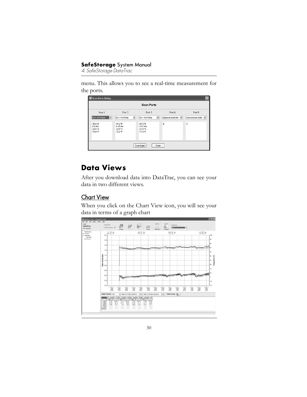#### **SafeStorage** System Manual

*4. SafeStorage DataTrac*

menu. This allows you to see a real-time measurement for the ports.

| Scan Ports Dialog                       |                                         |                                         |                    | $\vert \mathsf{x} \vert$         |  |  |
|-----------------------------------------|-----------------------------------------|-----------------------------------------|--------------------|----------------------------------|--|--|
| <b>Scan Ports</b>                       |                                         |                                         |                    |                                  |  |  |
| Port 1                                  | Port 2                                  | Port 3                                  | Port 4             | Port 5                           |  |  |
| $\checkmark$<br>SS-1 Aw/Temp            | $\checkmark$<br>SS-1 Aw/Temp            | Y<br>SS-1 Aw/Terno                      | Unprocessed Data V | $\checkmark$<br>Unprocessed Data |  |  |
| 39.9%<br>$0.4$ Aw<br>23.8 °C<br>74.9 °F | 45.2%<br>$0.45$ Aw<br>23.5 °C<br>74.2°F | 40.9%<br>$0.41$ Aw<br>23.6 °C<br>74.5°F | $\bf{0}$           | 0                                |  |  |
| Scan Again<br>Done                      |                                         |                                         |                    |                                  |  |  |

#### <span id="page-35-0"></span>**Data Views**

After you download data into DataTrac, you can see your data in two different views.

#### Chart View

When you click on the Chart View icon, you will see your data in terms of a graph chart

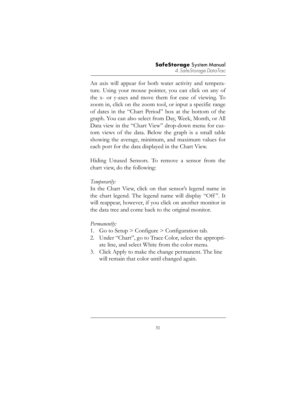An axis will appear for both water activity and temperature. Using your mouse pointer, you can click on any of the x- or y-axes and move them for ease of viewing. To zoom in, click on the zoom tool, or input a specific range of dates in the "Chart Period" box at the bottom of the graph. You can also select from Day, Week, Month, or All Data view in the "Chart View" drop-down menu for custom views of the data. Below the graph is a small table showing the average, minimum, and maximum values for each port for the data displayed in the Chart View.

<span id="page-36-0"></span>Hiding Unused Sensors. To remove a sensor from the chart view, do the following:

#### *Temporarily:*

In the Chart View, click on that sensor's legend name in the chart legend. The legend name will display "Off ". It will reappear, however, if you click on another monitor in the data tree and come back to the original monitor.

#### *Permanently:*

- 1. Go to Setup > Configure > Configuration tab.
- 2. Under "Chart", go to Trace Color, select the appropriate line, and select White from the color menu.
- 3. Click Apply to make the change permanent. The line will remain that color until changed again.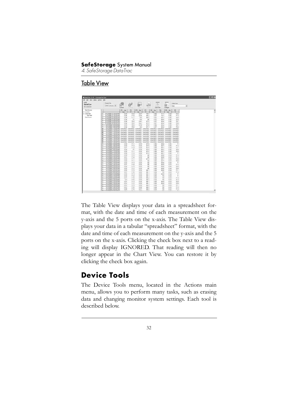#### **SafeStorage** System Manual

*4. SafeStorage DataTrac*

### <span id="page-37-0"></span>Table View

| $E$ edit)<br><b>BinWCov</b><br>Not connected |   | Connect Via<br>CONO Cuessure: 34             | Connect         | ü۴          | bF                                                              | æ<br><b>STATISTICS</b> |              | 冻<br><b>Chart View</b> | Ġ.<br>Carégue | Visible Date:<br>Bak.  | × |  |
|----------------------------------------------|---|----------------------------------------------|-----------------|-------------|-----------------------------------------------------------------|------------------------|--------------|------------------------|---------------|------------------------|---|--|
| <b>New Devices</b>                           |   |                                              | $P2 - Am$       | P2          | P3.4Am                                                          | P <sub>3</sub>         | $P4 - Aw$    | Fig<br>꾜               | $PS - Aw$     | P5<br>÷                |   |  |
| W. Location<br>orband field                  |   | 5/12/2006 12:30:00 PM                        | Auc<br>0.33     | ч<br>72.6   | $A_{\text{out}}$<br>0.37                                        | ₩<br>70.7              | Aw<br>0.36   | 71.1                   | Aug<br>0.34   | 72.4                   |   |  |
| back liet!                                   |   | 5/12/2006 12:35:00 PM                        | 0.34            | 714         | 0.36                                                            | 03.2                   | 0.37         | 70.1                   | 0.36          | 71.3                   |   |  |
| Data Source                                  |   | 5/12/2006 12:40:00 PM                        | 0.34            | 71.1        | 0.4                                                             | 68.5                   | 0.37         | 69.7                   | 0.36          | 70.9                   |   |  |
|                                              |   | 5/12/2006 12:45:00 PM                        | 0.34            | 71          | 0.4                                                             | 68                     | 0.37         | 69.5                   | 0.36          | 70 B                   |   |  |
|                                              |   | 5/12/2006 12:50:00 PM                        | 0.34            | 70.9        | 0.41                                                            | 67.9                   | 0.37         | 69.4                   | 0.36          | 70.7                   |   |  |
|                                              |   | 5/12/2006 12:55:00 PM                        | 0.34            | 70.9        | 0.41                                                            | 67.9                   | 0.37         | 69.4                   | 0.36          | 70.6                   |   |  |
|                                              |   | 5/12/2006 1:00:00 PM                         | 0.33            | 70.9        | 0.39                                                            | E7.0                   | 0.36         | 03.4                   | 0.36          | 70.7                   |   |  |
|                                              |   | 5/12/2006 1:05:00 PM                         | 0.34            | 70.0        | 04                                                              | 82.7                   | 0.37         | 69.4                   | 0.36          | 70.4                   |   |  |
|                                              |   | 5/12/2006 1:10:00 PM                         |                 |             | IGNORED IGNORED IGNORED IGNORED IGNORED IGNORED                 |                        |              |                        |               | KINORED KINORED        |   |  |
|                                              | Б | 5/12/2006 1 15:00 PM                         |                 |             | IGNORED IGNORED IGNORED IGNORED IGNORED                         |                        |              | <b>IGNORED</b>         |               | <b>IGNORED IGNORED</b> |   |  |
|                                              | Þ | 5/12/2006 1:20:00 PM                         |                 |             | KNORED KNORED KNORED KNORED KNORED KNORED KNORED KNORED         |                        |              |                        |               |                        |   |  |
|                                              |   | 5/12/2006 1:25:00 PM                         |                 |             | IGNORED IGNORED IGNORED IGNORED IGNORED IGNORED                 |                        |              |                        |               | KINORED KINORED        |   |  |
|                                              |   | 5/12/2006 1:30:00 PM                         |                 |             | KINGRED KINGRED KINGRED KINGRED KINGRED KINGRED KINGRED KINGRED |                        |              |                        |               |                        |   |  |
|                                              |   | 5/12/2006 1:35:00 PM                         |                 |             | IGNORED IGNORED IGNORED IGNORED IGNORED                         |                        |              | <b>IGNORED</b>         |               | IGNORED IGNORED        |   |  |
|                                              |   | 5/12/2006 1.40:00 PM                         |                 |             | IGNORED IGNORED IGNORED IGNORED IGNORED                         |                        |              | IGNORED.               |               | IGNORED IGNORED        |   |  |
|                                              |   | 5/12/2006 1:45:00 PM                         |                 |             | IGNORED IGNORED IGNORED IGNORED IGNORED                         |                        |              | <b>IGNORED</b>         |               | KNORED KNORED          |   |  |
|                                              |   | 5/12/2006 1:50:00 PM                         | CE <sub>O</sub> | 71.1        | 0.39                                                            | 67.8                   | 0.36         | 49.6                   | 0.36          | 21                     |   |  |
|                                              |   | 5/12/2006 1:55:00 PM                         | 0.33            | 713         | 0.39                                                            | 67.9                   | 0.36         | 69.7                   | 0.35          | 71.2                   |   |  |
|                                              |   | 5/12/2006 2:00:00 PM                         | 0.31            | 713         | 0.39                                                            | 67.9                   | 0.35         | 69.7                   | 0.34          | 71.1                   |   |  |
|                                              |   | 5/13/2006 2:05:00 PM                         | 0.33            | 71          | 0.39                                                            | E7.9                   | 0.36         | 69.7                   | 0.35          | 70.6                   |   |  |
|                                              |   | 5/12/2006 2:10:00 PM                         | 0.33            | 711         | 0.39                                                            | EZ 9                   | 0.36         | <b>GST</b>             | 0.36          | 70.6                   |   |  |
|                                              |   | 5/12/2006 2:55:00 PM                         | 0.33            | 71.3        | 0.29                                                            | 67.9                   | 0.36         | <b>GS 7</b>            | 0.36          | 21                     |   |  |
|                                              |   | 5/12/2006 2:20:00 PM                         | 0.33            | 713         | 0.29                                                            | 65                     | 0.36         | 69.8                   | 0.34          | 71.3                   |   |  |
|                                              |   | 5/12/2006 2:25:00 PM                         | 0.31            | 71.4        | 0.39                                                            | 68                     | 0.36         | 69.6                   | 0.33          | 71.2                   |   |  |
|                                              |   | 5/12/2006 2:30:00 PM                         | 0.33            | 71.1        | 0.29                                                            | $E2^+20$               | 0.36         | GB 7                   | 0.35          | 70R                    |   |  |
|                                              |   | 5/12/2006 2 35:00 PM                         | 0.33            | 711         | 0.39                                                            | 68                     | 0.36         | 6h T                   | 0.34          | 70.8                   |   |  |
|                                              |   | 6/12/2006 2:40:00 PM                         | 032             | 71.3        | 0.39                                                            | 60                     | 0.36         | 63.8                   | 0.34          | 71                     |   |  |
|                                              |   | 5/12/2006 2:45 00 PM                         | 0.31            | 71.4        | 0.30                                                            | 16                     | 0.36         | 65.9                   | 0.33          | 71.2                   |   |  |
|                                              |   | 5/12/2006 2:50:00 PM                         | 0.32            | 713         | 0.38                                                            | 66                     | 0.36         | 69.6                   | 0.34          | 709                    |   |  |
|                                              |   | 5/12/2006 2:55 00 PM                         | 0.32            | 71.2        | 0.39                                                            | 68                     | 0.36         | 69 R                   | 0.34          | 70.9                   |   |  |
|                                              |   | 5/12/2006 3:00:00 PM                         | 032             | 71.3        | 0.39                                                            | <b>FR.1</b>            | 0.35         | 69.8                   | 0.34          | 711                    |   |  |
|                                              |   | 5/12/2006 3:05:00 PM                         | 0.31            | 75.6        | 0.30                                                            | 68.1                   | 0.34         | 70                     | 0.33          | 71.3<br>71             |   |  |
|                                              |   | 5/12/2006 3:10:00 PM                         | 0.32            | 71.3        | 0.38                                                            | 68.1                   | 0.35         | 69.9                   | 0.34          |                        |   |  |
|                                              |   | 5/12/2006 3 15:00 PM                         | 032             | 71.4        | 0.38                                                            | 68.1<br>FR 3           | 0.36         | 70<br>70               | 0.34<br>0.33  | 71                     |   |  |
|                                              |   | 5/12/2006 3:20:00 PM<br>5/12/2006 3:25:00 PM | 0.31<br>03      | 71.5<br>715 | 0.38<br>0.36                                                    | 68.2                   | 0.36<br>0.34 | 70                     | 0.33          | 713<br>713             |   |  |
|                                              |   | 5/12/2006 3:30:00 PM                         | 0.31            | 71.3        | 0.30                                                            | 88.1                   | 0.36         | 69.97                  | 0.33          | 709                    |   |  |
|                                              |   | 5/12/2006 3:36 00 PM                         | 0.31            | 75.2        | 0.30                                                            | 60.1                   | 0.36         | 0.03                   | 0.33          | 70.9                   |   |  |
|                                              |   | 5/12/2006 3:40:00 PM                         | 0.31            | 71.3        | 0.38                                                            | 68.2                   | 0.34         | 70                     | 0.33          | 71.1                   |   |  |
|                                              |   | 5/12/2006 3:45:00 FM                         | 0.31            | 71.5        | 0.38                                                            | 68.2                   | 0.34         | 70                     | 0.33          | 71.3                   |   |  |
|                                              |   | 5/12/2006 3:50:00 PM                         | 0.29            | 715         | 0.37                                                            | FR 2                   | 0.33         | 70                     | 0.37          | 713                    |   |  |
|                                              |   | 8.100 BREEK R. E. L. BA BL                   | 2.25            | Anjal       | A.M.                                                            | $-0.4$                 | nni          |                        | 6.00          | $\overline{a}$         |   |  |

The Table View displays your data in a spreadsheet format, with the date and time of each measurement on the y-axis and the 5 ports on the x-axis. The Table View displays your data in a tabular "spreadsheet" format, with the date and time of each measurement on the y-axis and the 5 ports on the x-axis. Clicking the check box next to a reading will display IGNORED. That reading will then no longer appear in the Chart View. You can restore it by clicking the check box again.

# **Device Tools**

The Device Tools menu, located in the Actions main menu, allows you to perform many tasks, such as erasing data and changing monitor system settings. Each tool is described below.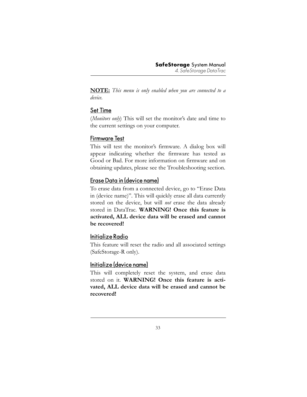**NOTE:** *This menu is only enabled when you are connected to a device.*

#### <span id="page-38-4"></span>Set Time

(*Monitors only*) This will set the monitor's date and time to the current settings on your computer.

#### <span id="page-38-1"></span>Firmware Test

This will test the monitor's firmware. A dialog box will appear indicating whether the firmware has tested as Good or Bad. For more information on firmware and on obtaining updates, please see the Troubleshooting section.

### <span id="page-38-0"></span>Erase Data in (device name)

To erase data from a connected device, go to "Erase Data in (device name)". This will quickly erase all data currently stored on the device, but will *not* erase the data already stored in DataTrac. **WARNING! Once this feature is activated, ALL device data will be erased and cannot be recovered!** 

#### <span id="page-38-3"></span>Initialize Radio

This feature will reset the radio and all associated settings (SafeStorage-R only).

#### <span id="page-38-2"></span>Initialize (device name)

This will completely reset the system, and erase data stored on it. **WARNING! Once this feature is activated, ALL device data will be erased and cannot be recovered!**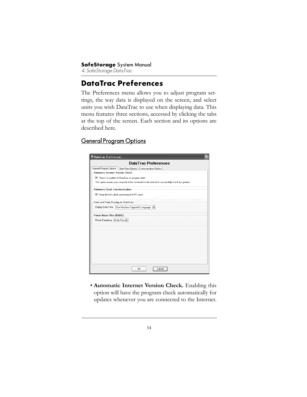# **DataTrac Preferences**

The Preferences menu allows you to adjust program settings, the way data is displayed on the screen, and select units you wish DataTrac to use when displaying data. This menu features three sections, accessed by clicking the tabs at the top of the screen. Each section and its options are described here.

### General Program Options

<span id="page-39-0"></span>

| <b>DataTrac Preferences</b>                                                                          |
|------------------------------------------------------------------------------------------------------|
| <b>DataTrac Preferences</b>                                                                          |
| General Program Options<br>Chart View Options   Communication Options                                |
| Automatic Internet Version Check                                                                     |
| 区 Check for updates to DataTrac as program starts.                                                   |
| This option requies your computer to be connected to the internet to successfully check for updates. |
| <b>Automatic Clock Synchronization</b>                                                               |
| I Keep device's clock synchronized to PC clock.                                                      |
| Date and Time Display in DataTrac                                                                    |
| Display Date/Time: Use Windows Regional & Language                                                   |
| Power Noise Filter (PADC)                                                                            |
| Power Frequency 60 Hz Pow ~                                                                          |
|                                                                                                      |
|                                                                                                      |
|                                                                                                      |
|                                                                                                      |
|                                                                                                      |
|                                                                                                      |
|                                                                                                      |
| 0K<br>Cancel                                                                                         |

• **Automatic Internet Version Check.** Enabling this option will have the program check automatically for updates whenever you are connected to the Internet.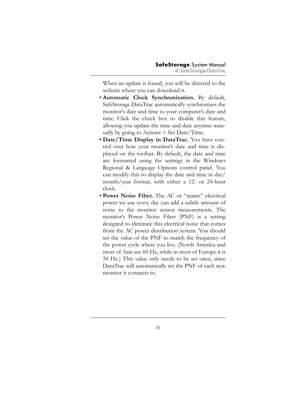When an update is found, you will be directed to the website where you can download it.

- **Automatic Clock Synchronization.** By default, SafeStorage DataTrac automatically synchronizes the monitor's date and time to your computer's date and time. Click the check box to disable this feature, allowing you update the time and date anytime manually by going to Actions > Set Date/Time.
- <span id="page-40-0"></span>• **Date/Time Display in DataTrac.** You have control over how your monitor's date and time is displayed on the toolbar. By default, the date and time are formatted using the settings in the Windows Regional & Language Options control panel. You can modify this to display the date and time in day/ month/year format, with either a 12- or 24-hour clock.
- **Power Noise Filter.** The AC or "mains" electrical power we use every day can add a subtle amount of noise to the monitor sensor measurements. The monitor's Power Noise Filter (PNF) is a setting designed to eliminate this electrical noise that comes from the AC power distribution system. You should set the value of the PNF to match the frequency of the power cycle where you live. (North America and most of Asia use 60 Hz, while in most of Europe it is 50 Hz.) This value only needs to be set once, since DataTrac will automatically set the PNF of each new monitor it connects to.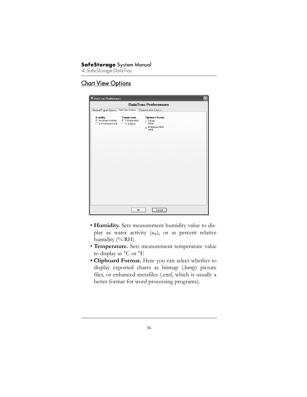#### **SafeStorage** System Manual

*4. SafeStorage DataTrac*

#### **Chart View Options**

<span id="page-41-0"></span>

| 豢 DataTrac Preferences                                                                                                                                                                                                                    |               |  |  |  |
|-------------------------------------------------------------------------------------------------------------------------------------------------------------------------------------------------------------------------------------------|---------------|--|--|--|
| <b>DataTrac Preferences</b>                                                                                                                                                                                                               |               |  |  |  |
| Chart View Options<br>General Program Options<br>Communication Options                                                                                                                                                                    |               |  |  |  |
| <b>Humidity</b><br><b>Clipboard Format</b><br>Temperature<br>C Aw (Water Activity)<br>← 'F (Fahrenheit)<br>$\bigcirc$ $\frac{\text{Bitmap}}{\text{(bmp)}}$<br><sup>C</sup> <sup>*</sup> C (Celsius)<br>C % RH (Percent RH)<br>Ġ.<br>[emf] | Enhanced Meta |  |  |  |
| <b>OK</b>                                                                                                                                                                                                                                 | Cancel        |  |  |  |

- **Humidity.** Sets measurement humidity value to display as water activity  $(a_w)$ , or as percent relative humidity (% RH).
- **Temperature.** Sets measurement temperature value to display as °C or °F.
- **Clipboard Format.** Here you can select whether to display exported charts as bitmap (.bmp) picture files, or enhanced metafiles (.emf, which is usually a better format for word processing programs).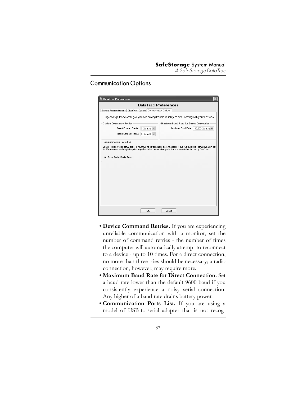<span id="page-42-0"></span>*4. SafeStorage DataTrac*

#### Communication Options

| <b>脊 DataTrac Preferences</b>                                                                                      |                                                                                                                         |  |  |  |  |
|--------------------------------------------------------------------------------------------------------------------|-------------------------------------------------------------------------------------------------------------------------|--|--|--|--|
| DataTrac Preferences                                                                                               |                                                                                                                         |  |  |  |  |
| General Program Options   Chart View Options   Communication Options                                               |                                                                                                                         |  |  |  |  |
|                                                                                                                    | Only change these settings if you are having trouble reliably communicating with your devices.                          |  |  |  |  |
| <b>Device Commands Retries</b><br><b>Maximum Baud Rate for Direct Connection</b>                                   |                                                                                                                         |  |  |  |  |
| Direct Connect Retries:<br>3 (default)                                                                             | Maximum Baud Rate:   115,200 (default) ~                                                                                |  |  |  |  |
| Radio Connect Retries:<br>5 (default)                                                                              |                                                                                                                         |  |  |  |  |
| <b>Communication Ports List</b>                                                                                    |                                                                                                                         |  |  |  |  |
|                                                                                                                    | Enable "Force find all comm ports" if your USB to serial adapter doesn't appear in the "Connect Via" communication port |  |  |  |  |
| list. Please note: enabling this option may also find communication ports that are unavailable for use by DataTrac |                                                                                                                         |  |  |  |  |
| <b>▽</b> Force Find All Serial Ports                                                                               |                                                                                                                         |  |  |  |  |
|                                                                                                                    |                                                                                                                         |  |  |  |  |
|                                                                                                                    |                                                                                                                         |  |  |  |  |
|                                                                                                                    |                                                                                                                         |  |  |  |  |
|                                                                                                                    |                                                                                                                         |  |  |  |  |
|                                                                                                                    |                                                                                                                         |  |  |  |  |
|                                                                                                                    |                                                                                                                         |  |  |  |  |
|                                                                                                                    |                                                                                                                         |  |  |  |  |
|                                                                                                                    |                                                                                                                         |  |  |  |  |
| <b>DK</b><br>Cancel                                                                                                |                                                                                                                         |  |  |  |  |

- **Device Command Retries.** If you are experiencing unreliable communication with a monitor, set the number of command retries - the number of times the computer will automatically attempt to reconnect to a device - up to 10 times. For a direct connection, no more than three tries should be necessary; a radio connection, however, may require more.
- **Maximum Baud Rate for Direct Connection.** Set a baud rate lower than the default 9600 baud if you consistently experience a noisy serial connection. Any higher of a baud rate drains battery power.
- **Communication Ports List.** If you are using a model of USB-to-serial adapter that is not recog-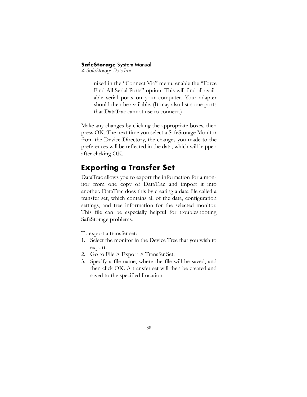nized in the "Connect Via" menu, enable the "Force Find All Serial Ports" option. This will find all available serial ports on your computer. Your adapter should then be available. (It may also list some ports that DataTrac cannot use to connect.)

Make any changes by clicking the appropriate boxes, then press OK. The next time you select a SafeStorage Monitor from the Device Directory, the changes you made to the preferences will be reflected in the data, which will happen after clicking OK.

# <span id="page-43-0"></span>**Exporting a Transfer Set**

DataTrac allows you to export the information for a monitor from one copy of DataTrac and import it into another. DataTrac does this by creating a data file called a transfer set, which contains all of the data, configuration settings, and tree information for the selected monitor. This file can be especially helpful for troubleshooting SafeStorage problems.

To export a transfer set:

- 1. Select the monitor in the Device Tree that you wish to export.
- 2. Go to File  $>$  Export  $>$  Transfer Set.
- 3. Specify a file name, where the file will be saved, and then click OK. A transfer set will then be created and saved to the specified Location.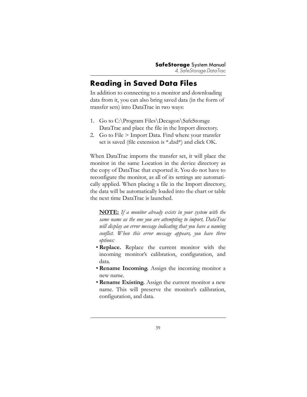# <span id="page-44-0"></span>**Reading in Saved Data Files**

In addition to connecting to a monitor and downloading data from it, you can also bring saved data (in the form of transfer sets) into DataTrac in two ways:

- 1. Go to C:\Program Files\Decagon\SafeStorage DataTrac and place the file in the Import directory.
- 2. Go to File > Import Data. Find where your transfer set is saved (file extension is \*.dzd\*) and click OK.

When DataTrac imports the transfer set, it will place the monitor in the same Location in the device directory as the copy of DataTrac that exported it. You do not have to reconfigure the monitor, as all of its settings are automatically applied. When placing a file in the Import directory, the data will be automatically loaded into the chart or table the next time DataTrac is launched.

**NOTE:** *If a monitor already exists in your system with the same name as the one you are attempting to import, DataTrac will display an error message indicating that you have a naming conflict. When this error message appears, you have three options:*

- **Replace.** Replace the current monitor with the incoming monitor's calibration, configuration, and data.
- **Rename Incoming.** Assign the incoming monitor a new name.
- **Rename Existing.** Assign the current monitor a new name. This will preserve the monitor's calibration, configuration, and data.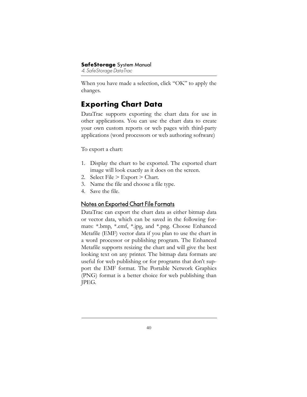When you have made a selection, click "OK" to apply the changes.

# <span id="page-45-1"></span>**Exporting Chart Data**

DataTrac supports exporting the chart data for use in other applications. You can use the chart data to create your own custom reports or web pages with third-party applications (word processors or web authoring software)

To export a chart:

- 1. Display the chart to be exported. The exported chart image will look exactly as it does on the screen.
- 2. Select File > Export > Chart.
- 3. Name the file and choose a file type.
- <span id="page-45-0"></span>4. Save the file.

#### Notes on Exported Chart File Formats

DataTrac can export the chart data as either bitmap data or vector data, which can be saved in the following formats: \*.bmp, \*.emf, \*.jpg, and \*.png. Choose Enhanced Metafile (EMF) vector data if you plan to use the chart in a word processor or publishing program. The Enhanced Metafile supports resizing the chart and will give the best looking text on any printer. The bitmap data formats are useful for web publishing or for programs that don't support the EMF format. The Portable Network Graphics (PNG) format is a better choice for web publishing than JPEG.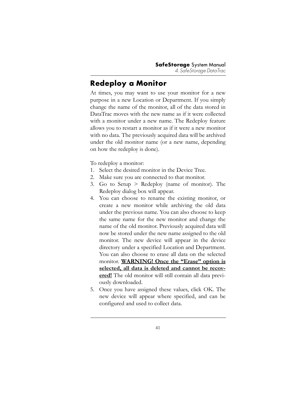# <span id="page-46-0"></span>**Redeploy a Monitor**

At times, you may want to use your monitor for a new purpose in a new Location or Department. If you simply change the name of the monitor, all of the data stored in DataTrac moves with the new name as if it were collected with a monitor under a new name. The Redeploy feature allows you to restart a monitor as if it were a new monitor with no data. The previously acquired data will be archived under the old monitor name (or a new name, depending on how the redeploy is done).

To redeploy a monitor:

- 1. Select the desired monitor in the Device Tree.
- 2. Make sure you are connected to that monitor.
- 3. Go to Setup > Redeploy (name of monitor). The Redeploy dialog box will appear.
- 4. You can choose to rename the existing monitor, or create a new monitor while archiving the old data under the previous name. You can also choose to keep the same name for the new monitor and change the name of the old monitor. Previously acquired data will now be stored under the new name assigned to the old monitor. The new device will appear in the device directory under a specified Location and Department. You can also choose to erase all data on the selected monitor. **WARNING! Once the "Erase" option is selected, all data is deleted and cannot be recovered!** The old monitor will still contain all data previously downloaded.
- 5. Once you have assigned these values, click OK. The new device will appear where specified, and can be configured and used to collect data.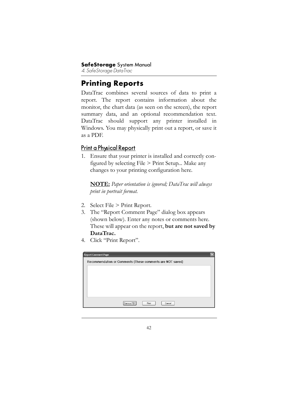# **Printing Reports**

DataTrac combines several sources of data to print a report. The report contains information about the monitor, the chart data (as seen on the screen), the report summary data, and an optional recommendation text. DataTrac should support any printer installed in Windows. You may physically print out a report, or save it as a PDF.

#### <span id="page-47-0"></span>Print a Physical Report

1. Ensure that your printer is installed and correctly configured by selecting File > Print Setup... Make any changes to your printing configuration here.

**NOTE:** *Paper orientation is ignored; DataTrac will always print in portrait format.*

- 2. Select File > Print Report.
- 3. The "Report Comment Page" dialog box appears (shown below). Enter any notes or comments here. These will appear on the report, **but are not saved by DataTrac.**
- 4. Click "Print Report".

| <b>Report Comment Page</b>                                |  |  |  |  |
|-----------------------------------------------------------|--|--|--|--|
| Recommendation or Comments (These comments are NOT saved) |  |  |  |  |
|                                                           |  |  |  |  |
|                                                           |  |  |  |  |
|                                                           |  |  |  |  |
|                                                           |  |  |  |  |
|                                                           |  |  |  |  |
|                                                           |  |  |  |  |
| Print<br>Cancel<br>Save as PDF                            |  |  |  |  |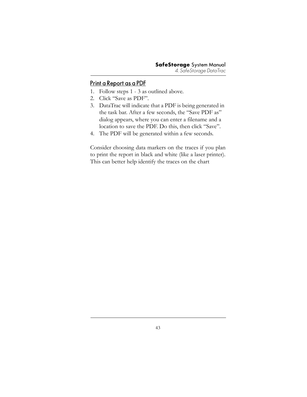#### <span id="page-48-0"></span>Print a Report as a PDF

- 1. Follow steps 1 3 as outlined above.
- 2. Click "Save as PDF".
- 3. DataTrac will indicate that a PDF is being generated in the task bar. After a few seconds, the "Save PDF as" dialog appears, where you can enter a filename and a location to save the PDF. Do this, then click "Save".
- 4. The PDF will be generated within a few seconds.

Consider choosing data markers on the traces if you plan to print the report in black and white (like a laser printer). This can better help identify the traces on the chart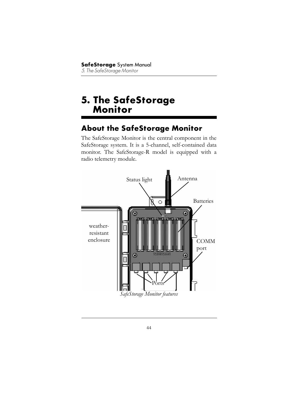# **5. The SafeStorage Monitor**

# <span id="page-49-0"></span>**About the SafeStorage Monitor**

The SafeStorage Monitor is the central component in the SafeStorage system. It is a 5-channel, self-contained data monitor. The SafeStorage-R model is equipped with a radio telemetry module.

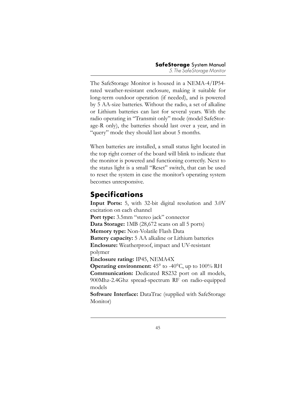The SafeStorage Monitor is housed in a NEMA-4/IP54 rated weather-resistant enclosure, making it suitable for long-term outdoor operation (if needed), and is powered by 5 AA-size batteries. Without the radio, a set of alkaline or Lithium batteries can last for several years. With the radio operating in "Transmit only" mode (model SafeStorage-R only), the batteries should last over a year, and in "query" mode they should last about 5 months.

When batteries are installed, a small status light located in the top right corner of the board will blink to indicate that the monitor is powered and functioning correctly. Next to the status light is a small "Reset" switch, that can be used to reset the system in case the monitor's operating system becomes unresponsive.

# <span id="page-50-1"></span>**Specifications**

<span id="page-50-0"></span>**Input Ports:** 5, with 32-bit digital resolution and 3.0V excitation on each channel Port type: 3.5mm "stereo jack" connector **Data Storage:** 1MB (28,672 scans on all 5 ports) **Memory type:** Non-Volatile Flash Data **Battery capacity:** 5 AA alkaline or Lithium batteries **Enclosure:** Weatherproof, impact and UV-resistant polymer **Enclosure rating:** IP45, NEMA4X **Operating environment:** 45° to -40°C, up to 100% RH **Communication:** Dedicated RS232 port on all models,

900Mhz-2.4Ghz spread-spectrum RF on radio-equipped models

**Software Interface:** DataTrac (supplied with SafeStorage Monitor)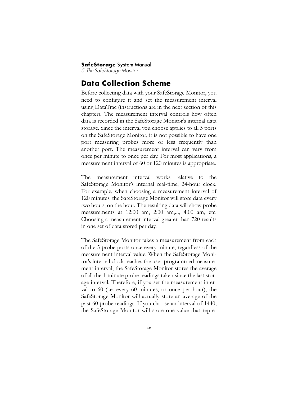# <span id="page-51-0"></span>**Data Collection Scheme**

Before collecting data with your SafeStorage Monitor, you need to configure it and set the measurement interval using DataTrac (instructions are in the next section of this chapter). The measurement interval controls how often data is recorded in the SafeStorage Monitor's internal data storage. Since the interval you choose applies to all 5 ports on the SafeStorage Monitor, it is not possible to have one port measuring probes more or less frequently than another port. The measurement interval can vary from once per minute to once per day. For most applications, a measurement interval of 60 or 120 minutes is appropriate.

The measurement interval works relative to the SafeStorage Monitor's internal real-time, 24-hour clock. For example, when choosing a measurement interval of 120 minutes, the SafeStorage Monitor will store data every two hours, on the hour. The resulting data will show probe measurements at 12:00 am, 2:00 am, 4:00 am, etc. Choosing a measurement interval greater than 720 results in one set of data stored per day.

The SafeStorage Monitor takes a measurement from each of the 5 probe ports once every minute, regardless of the measurement interval value. When the SafeStorage Monitor's internal clock reaches the user-programmed measurement interval, the SafeStorage Monitor stores the average of all the 1-minute probe readings taken since the last storage interval. Therefore, if you set the measurement interval to 60 (i.e. every 60 minutes, or once per hour), the SafeStorage Monitor will actually store an average of the past 60 probe readings. If you choose an interval of 1440, the SafeStorage Monitor will store one value that repre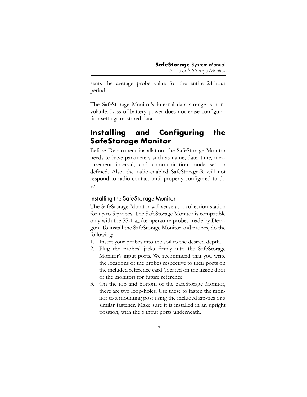sents the average probe value for the entire 24-hour period.

The SafeStorage Monitor's internal data storage is nonvolatile. Loss of battery power does not erase configuration settings or stored data.

### **Installing and Configuring the SafeStorage Monitor**

Before Department installation, the SafeStorage Monitor needs to have parameters such as name, date, time, measurement interval, and communication mode set or defined. Also, the radio-enabled SafeStorage-R will not respond to radio contact until properly configured to do so.

#### <span id="page-52-0"></span>Installing the SafeStorage Monitor

The SafeStorage Monitor will serve as a collection station for up to 5 probes. The SafeStorage Monitor is compatible only with the SS-1  $a_w$ /temperature probes made by Decagon. To install the SafeStorage Monitor and probes, do the following:

- 1. Insert your probes into the soil to the desired depth.
- 2. Plug the probes' jacks firmly into the SafeStorage Monitor's input ports. We recommend that you write the locations of the probes respective to their ports on the included reference card (located on the inside door of the monitor) for future reference.
- 3. On the top and bottom of the SafeStorage Monitor, there are two loop-holes. Use these to fasten the monitor to a mounting post using the included zip-ties or a similar fastener. Make sure it is installed in an upright position, with the 5 input ports underneath.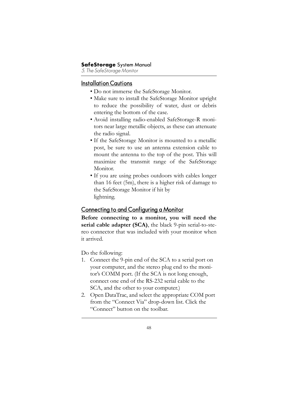#### Installation Cautions

- <span id="page-53-1"></span>• Do not immerse the SafeStorage Monitor.
- Make sure to install the SafeStorage Monitor upright to reduce the possibility of water, dust or debris entering the bottom of the case.
- Avoid installing radio-enabled SafeStorage-R monitors near large metallic objects, as these can attenuate the radio signal.
- If the SafeStorage Monitor is mounted to a metallic post, be sure to use an antenna extension cable to mount the antenna to the top of the post. This will maximize the transmit range of the SafeStorage Monitor.
- <span id="page-53-0"></span>• If you are using probes outdoors with cables longer than 16 feet (5m), there is a higher risk of damage to the SafeStorage Monitor if hit by lightning.

#### Connecting to and Configuring a Monitor

**Before connecting to a monitor, you will need the serial cable adapter (SCA)**, the black 9-pin serial-to-stereo connector that was included with your monitor when it arrived.

Do the following:

- 1. Connect the 9-pin end of the SCA to a serial port on your computer, and the stereo plug end to the monitor's COMM port. (If the SCA is not long enough, connect one end of the RS-232 serial cable to the SCA, and the other to your computer.)
- 2. Open DataTrac, and select the appropriate COM port from the "Connect Via" drop-down list. Click the "Connect" button on the toolbar.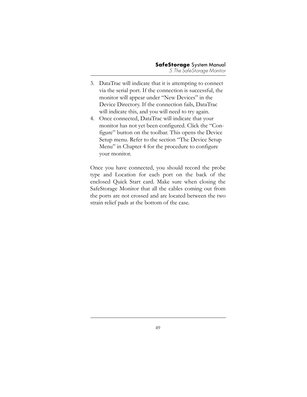- 3. DataTrac will indicate that it is attempting to connect via the serial port. If the connection is successful, the monitor will appear under "New Devices" in the Device Directory. If the connection fails, DataTrac will indicate this, and you will need to try again.
- 4. Once connected, DataTrac will indicate that your monitor has not yet been configured. Click the "Configure" button on the toolbar. This opens the Device Setup menu. Refer to the section "The Device Setup Menu" in Chapter 4 for the procedure to configure your monitor.

Once you have connected, you should record the probe type and Location for each port on the back of the enclosed Quick Start card. Make sure when closing the SafeStorage Monitor that all the cables coming out from the ports are not crossed and are located between the two strain relief pads at the bottom of the case.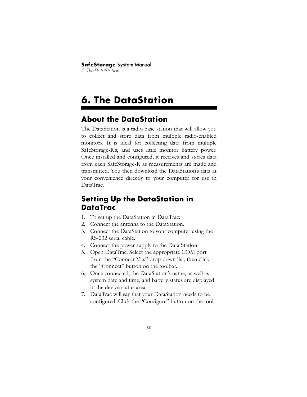# **6. The DataStation**

# <span id="page-55-0"></span>**About the DataStation**

The DataStation is a radio base station that will allow you to collect and store data from multiple radio-enabled monitors. It is ideal for collecting data from multiple SafeStorage-R's, and uses little monitor battery power. Once installed and configured, it receives and stores data from each SafeStorage-R as measurements are made and transmitted. You then download the DataStation's data at your convenience directly to your computer for use in DataTrac.

### <span id="page-55-1"></span>**Setting Up the DataStation in DataTrac**

- 1. To set up the DataStation in DataTrac:
- 2. Connect the antenna to the DataStation.
- 3. Connect the DataStation to your computer using the RS-232 serial cable.
- 4. Connect the power supply to the Data Station.
- 5. Open DataTrac. Select the appropriate COM port from the "Connect Via:" drop-down list, then click the "Connect" button on the toolbar.
- 6. Once connected, the DataStation's name, as well as system date and time, and battery status are displayed in the device status area.
- 7. DataTrac will say that your DataStation needs to be configured. Click the "Configure" button on the tool-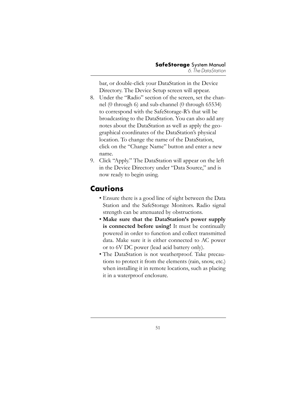bar, or double-click your DataStation in the Device Directory. The Device Setup screen will appear.

- 8. Under the "Radio" section of the screen, set the channel (0 through 6) and sub-channel (0 through 65534) to correspond with the SafeStorage-R's that will be broadcasting to the DataStation. You can also add any notes about the DataStation as well as apply the geographical coordinates of the DataStation's physical location. To change the name of the DataStation, click on the "Change Name" button and enter a new name.
- 9. Click "Apply." The DataStation will appear on the left in the Device Directory under "Data Source," and is now ready to begin using.

### **Cautions**

- <span id="page-56-0"></span>• Ensure there is a good line of sight between the Data Station and the SafeStorage Monitors. Radio signal strength can be attenuated by obstructions.
- **Make sure that the DataStation's power supply is connected before using!** It must be continually powered in order to function and collect transmitted data. Make sure it is either connected to AC power or to 6V DC power (lead acid battery only).
- The DataStation is not weatherproof. Take precautions to protect it from the elements (rain, snow, etc.) when installing it in remote locations, such as placing it in a waterproof enclosure.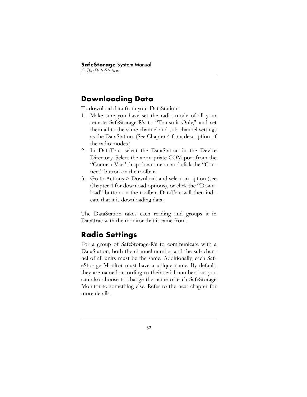## <span id="page-57-1"></span>**Downloading Data**

To download data from your DataStation:

- 1. Make sure you have set the radio mode of all your remote SafeStorage-R's to "Transmit Only," and set them all to the same channel and sub-channel settings as the DataStation. (See Chapter 4 for a description of the radio modes.)
- 2. In DataTrac, select the DataStation in the Device Directory. Select the appropriate COM port from the "Connect Via:" drop-down menu, and click the "Connect" button on the toolbar.
- 3. Go to Actions > Download, and select an option (see Chapter 4 for download options), or click the "Download" button on the toolbar. DataTrac will then indicate that it is downloading data.

The DataStation takes each reading and groups it in DataTrac with the monitor that it came from.

# <span id="page-57-0"></span>**Radio Settings**

For a group of SafeStorage-R's to communicate with a DataStation, both the channel number and the sub-channel of all units must be the same. Additionally, each SafeStorage Monitor must have a unique name. By default, they are named according to their serial number, but you can also choose to change the name of each SafeStorage Monitor to something else. Refer to the next chapter for more details.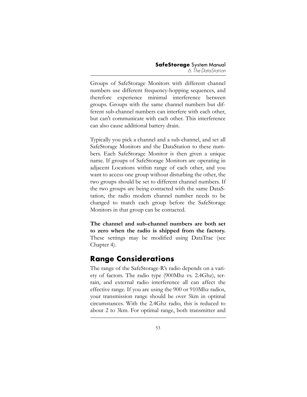Groups of SafeStorage Monitors with different channel numbers use different frequency-hopping sequences, and therefore experience minimal interference between groups. Groups with the same channel numbers but different sub-channel numbers can interfere with each other, but can't communicate with each other. This interference can also cause additional battery drain.

Typically you pick a channel and a sub-channel, and set all SafeStorage Monitors and the DataStation to these numbers. Each SafeStorage Monitor is then given a unique name. If groups of SafeStorage Monitors are operating in adjacent Locations within range of each other, and you want to access one group without disturbing the other, the two groups should be set to different channel numbers. If the two groups are being contacted with the same DataStation, the radio modem channel number needs to be changed to match each group before the SafeStorage Monitors in that group can be contacted.

**The channel and sub-channel numbers are both set to zero when the radio is shipped from the factory.** These settings may be modified using DataTrac (see Chapter 4).

### <span id="page-58-0"></span>**Range Considerations**

The range of the SafeStorage-R's radio depends on a variety of factors. The radio type (900Mhz vs. 2.4Ghz), terrain, and external radio interference all can affect the effective range. If you are using the 900 or 910Mhz radios, your transmission range should be over 5km in optimal circumstances. With the 2.4Ghz radio, this is reduced to about 2 to 3km. For optimal range, both transmitter and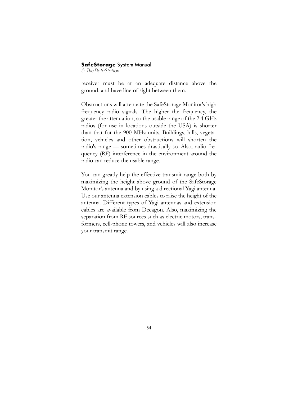#### **SafeStorage** System Manual *6. The DataStation*

receiver must be at an adequate distance above the ground, and have line of sight between them.

Obstructions will attenuate the SafeStorage Monitor's high frequency radio signals. The higher the frequency, the greater the attenuation, so the usable range of the 2.4 GHz radios (for use in locations outside the USA) is shorter than that for the 900 MHz units. Buildings, hills, vegetation, vehicles and other obstructions will shorten the radio's range — sometimes drastically so. Also, radio frequency (RF) interference in the environment around the radio can reduce the usable range.

You can greatly help the effective transmit range both by maximizing the height above ground of the SafeStorage Monitor's antenna and by using a directional Yagi antenna. Use our antenna extension cables to raise the height of the antenna. Different types of Yagi antennas and extension cables are available from Decagon. Also, maximizing the separation from RF sources such as electric motors, transformers, cell-phone towers, and vehicles will also increase your transmit range.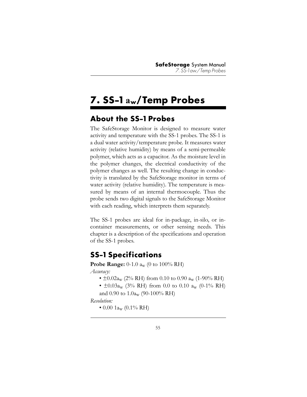# **7. SS-1 aw/Temp Probes**

### <span id="page-60-0"></span>**About the SS-1 Probes**

The SafeStorage Monitor is designed to measure water activity and temperature with the SS-1 probes. The SS-1 is a dual water activity/temperature probe. It measures water activity (relative humidity) by means of a semi-permeable polymer, which acts as a capacitor. As the moisture level in the polymer changes, the electrical conductivity of the polymer changes as well. The resulting change in conductivity is translated by the SafeStorage monitor in terms of water activity (relative humidity). The temperature is measured by means of an internal thermocouple. Thus the probe sends two digital signals to the SafeStorage Monitor with each reading, which interprets them separately.

The SS-1 probes are ideal for in-package, in-silo, or incontainer measurements, or other sensing needs. This chapter is a description of the specifications and operation of the SS-1 probes.

## **SS-1 Specifications**

**Probe Range:** 0-1.0  $a_w$  (0 to 100% RH)

*Accuracy:* 

- <span id="page-60-1"></span>•  $\pm 0.02$ a<sub>w</sub> (2% RH) from 0.10 to 0.90 a<sub>w</sub> (1-90% RH)
- $\pm 0.03a_w$  (3% RH) from 0.0 to 0.10  $a_w$  (0-1% RH) and 0.90 to 1.0aw (90-100% RH)

*Resolution:*

•  $0.001a_w (0.1\% \text{ RH})$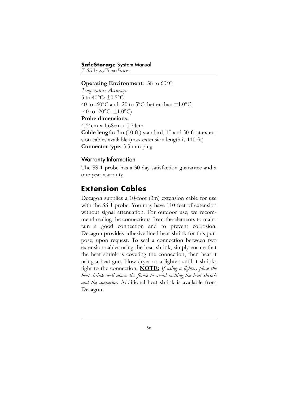#### **SafeStorage** System Manual

*7. SS-1 aw/Temp Probes*

#### **Operating Environment:** -38 to 60°C

*Temperature Accuracy:*  5 to 40°C: ±0.5°C 40 to -60 $^{\circ}$ C and -20 to 5 $^{\circ}$ C: better than  $\pm$ 1.0 $^{\circ}$ C -40 to -20 $^{\circ}$ C:  $\pm$ 1.0 $^{\circ}$ C) **Probe dimensions:** 4.44cm x 1.68cm x 0.74cm **Cable length:** 3m (10 ft.) standard, 10 and 50-foot extension cables available (max extension length is 110 ft.) **Connector type:** 3.5 mm plug

#### Warranty Information

The SS-1 probe has a 30-day satisfaction guarantee and a one-year warranty.

## <span id="page-61-1"></span><span id="page-61-0"></span>**Extension Cables**

Decagon supplies a 10-foot (3m) extension cable for use with the SS-1 probe. You may have 110 feet of extension without signal attenuation. For outdoor use, we recommend sealing the connections from the elements to maintain a good connection and to prevent corrosion. Decagon provides adhesive-lined heat-shrink for this purpose, upon request. To seal a connection between two extension cables using the heat-shrink, simply ensure that the heat shrink is covering the connection, then heat it using a heat-gun, blow-dryer or a lighter until it shrinks tight to the connection. **NOTE:** *If using a lighter, place the heat-shrink well above the flame to avoid melting the heat shrink and the connector.* Additional heat shrink is available from Decagon.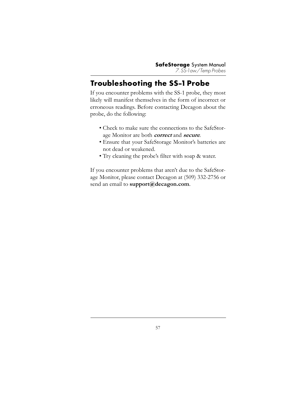# <span id="page-62-0"></span>**Troubleshooting the SS-1 Probe**

If you encounter problems with the SS-1 probe, they most likely will manifest themselves in the form of incorrect or erroneous readings. Before contacting Decagon about the probe, do the following:

- Check to make sure the connections to the SafeStorage Monitor are both **correct** and **secure**.
- Ensure that your SafeStorage Monitor's batteries are not dead or weakened.
- Try cleaning the probe's filter with soap & water.

If you encounter problems that aren't due to the SafeStorage Monitor, please contact Decagon at (509) 332-2756 or send an email to **support@decagon.com**.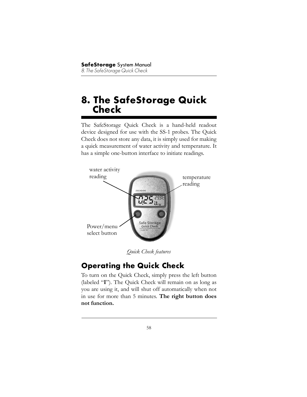# **8. The SafeStorage Quick Check**

The SafeStorage Quick Check is a hand-held readout device designed for use with the SS-1 probes. The Quick Check does not store any data, it is simply used for making a quick measurement of water activity and temperature. It has a simple one-button interface to initiate readings.



*Quick Check features*

# <span id="page-63-0"></span>**Operating the Quick Check**

To turn on the Quick Check, simply press the left button (labeled "**I**"). The Quick Check will remain on as long as you are using it, and will shut off automatically when not in use for more than 5 minutes. **The right button does not function.**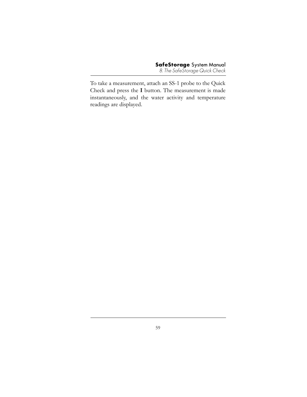To take a measurement, attach an SS-1 probe to the Quick Check and press the **I** button. The measurement is made instantaneously, and the water activity and temperature readings are displayed.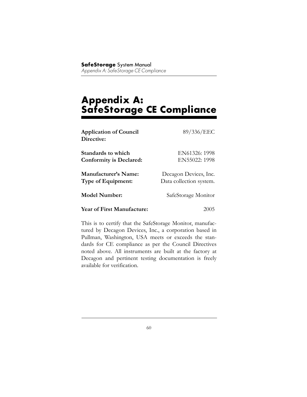# **Appendix A: SafeStorage CE Compliance**

| <b>Application of Council</b><br>Directive: | 89/336/EEC                                       |
|---------------------------------------------|--------------------------------------------------|
| Standards to which                          | EN61326: 1998                                    |
| Conformity is Declared:                     | EN55022: 1998                                    |
| Manufacturer's Name:<br>Type of Equipment:  | Decagon Devices, Inc.<br>Data collection system. |
| <b>Model Number:</b>                        | SafeStorage Monitor                              |
| Year of First Manufacture:                  | $()$ ካ                                           |

This is to certify that the SafeStorage Monitor, manufactured by Decagon Devices, Inc., a corporation based in Pullman, Washington, USA meets or exceeds the standards for CE compliance as per the Council Directives noted above. All instruments are built at the factory at Decagon and pertinent testing documentation is freely available for verification.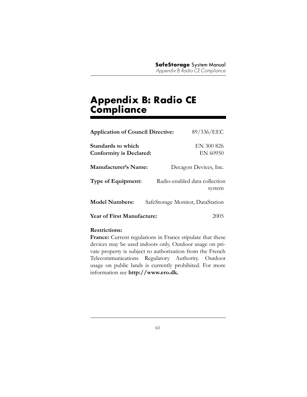# **Appendix B: Radio CE Compliance**

| <b>Application of Council Directive:</b>      | 89/336/EEC                              |
|-----------------------------------------------|-----------------------------------------|
| Standards to which<br>Conformity is Declared: | EN 300 826<br>EN 60950                  |
| Manufacturer's Name:                          | Decagon Devices, Inc.                   |
| Type of Equipment:                            | Radio-enabled data collection<br>system |
| <b>Model Numbers:</b>                         | SafeStorage Monitor, DataStation        |
| Year of First Manufacture:                    | 2005                                    |

#### **Restrictions:**

**France:** Current regulations in France stipulate that these devices may be used indoors only. Outdoor usage on private property is subject to authorization from the French Telecommunications Regulatory Authority. Outdoor usage on public lands is currently prohibited. For more information see **http://www.ero.dk.**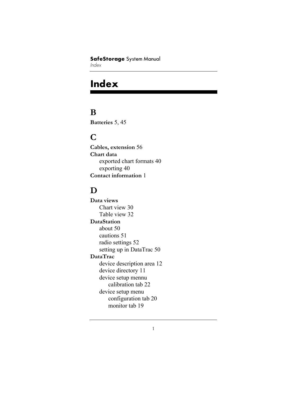#### **SafeStorage** System Manual *Index*

# **Index**

### **B**

**Batteries** [5,](#page-10-0) [45](#page-50-0)

### **C**

**Cables, extension** [56](#page-61-0) **Chart data** [exported chart formats 40](#page-45-0) [exporting 40](#page-45-1) **Contact information** [1](#page-6-0)

### **D**

**Data views** [Chart view 30](#page-35-0) [Table view 32](#page-37-0) **DataStation** [about 50](#page-55-0) [cautions 51](#page-56-0) [radio settings 52](#page-57-0) [setting up in DataTrac 50](#page-55-1) **DataTrac** [device description area 12](#page-17-0) [device directory 11](#page-16-0) device setup mennu [calibration tab 22](#page-27-0) device setup menu [configuration tab 20](#page-25-0) [monitor tab 19](#page-24-0)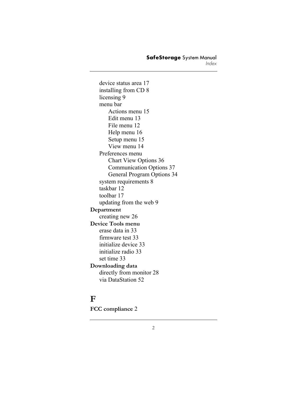[device status area 17](#page-22-0) [installing from CD 8](#page-13-0) [licensing 9](#page-14-0) menu bar [Actions menu 15](#page-20-0) [Edit menu 13](#page-18-0) [File menu 12](#page-17-1) [Help menu 16](#page-21-0) [Setup menu 15](#page-20-1) [View menu 14](#page-19-0) Preferences menu [Chart View Options 36](#page-41-0) [Communication Options 37](#page-42-0) [General Program Options 34](#page-39-0) [system requirements 8](#page-13-1) [taskbar 12](#page-17-2) [toolbar 17](#page-22-1) [updating from the web 9](#page-14-1) **Department** [creating new 26](#page-31-0) **Device Tools menu** [erase data in 33](#page-38-0) [firmware test 33](#page-38-1) [initialize device 33](#page-38-2) [initialize radio 33](#page-38-3) [set time 33](#page-38-4) **Downloading data** [directly from monitor 28](#page-33-0) [via DataStation 52](#page-57-1)

#### **F**

**FCC compliance** [2](#page-7-0)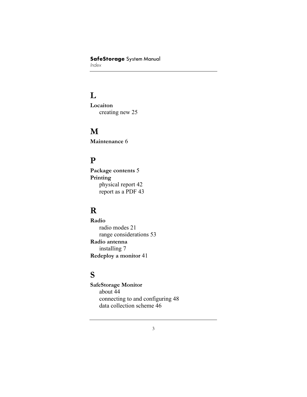# **L**

**Locaiton** [creating new 25](#page-30-0)

# **M**

**Maintenance** [6](#page-11-0)

# **P**

**Package contents** [5](#page-10-1) **Printing** [physical report 42](#page-47-0) [report as a PDF 43](#page-48-0)

## **R**

**Radio** [radio modes 21](#page-26-0) [range considerations 53](#page-58-0) **Radio antenna** [installing 7](#page-12-0) **Redeploy a monitor** [41](#page-46-0)

### **S**

**SafeStorage Monitor** [about 44](#page-49-0) [connecting to and configuring 48](#page-53-0) [data collection scheme 46](#page-51-0)